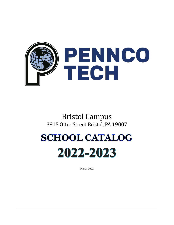

Bristol Campus 3815 Otter Street Bristol, PA 19007

# **SCHOOL CATALOG** 2022-2023

March 2022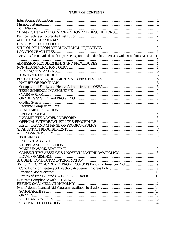#### **TABLE OF CONTENTS**

| Services for individuals with impairments protected under the Americans with Disabilities Act (ADA) |  |
|-----------------------------------------------------------------------------------------------------|--|
|                                                                                                     |  |
|                                                                                                     |  |
|                                                                                                     |  |
|                                                                                                     |  |
|                                                                                                     |  |
|                                                                                                     |  |
|                                                                                                     |  |
|                                                                                                     |  |
|                                                                                                     |  |
|                                                                                                     |  |
|                                                                                                     |  |
|                                                                                                     |  |
|                                                                                                     |  |
|                                                                                                     |  |
|                                                                                                     |  |
|                                                                                                     |  |
|                                                                                                     |  |
|                                                                                                     |  |
|                                                                                                     |  |
|                                                                                                     |  |
|                                                                                                     |  |
| ATTENDANCE PROBATION.                                                                               |  |
|                                                                                                     |  |
|                                                                                                     |  |
|                                                                                                     |  |
|                                                                                                     |  |
|                                                                                                     |  |
|                                                                                                     |  |
|                                                                                                     |  |
|                                                                                                     |  |
|                                                                                                     |  |
|                                                                                                     |  |
|                                                                                                     |  |
|                                                                                                     |  |
|                                                                                                     |  |
|                                                                                                     |  |
|                                                                                                     |  |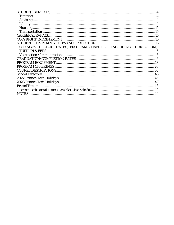| CHANGES IN START DATES, PROGRAM CHANGES - INCLUDING CURRICULUM, |    |
|-----------------------------------------------------------------|----|
|                                                                 |    |
|                                                                 |    |
|                                                                 |    |
|                                                                 |    |
|                                                                 |    |
|                                                                 |    |
|                                                                 |    |
|                                                                 |    |
|                                                                 |    |
|                                                                 |    |
|                                                                 |    |
| <b>NOTES</b> .                                                  | 49 |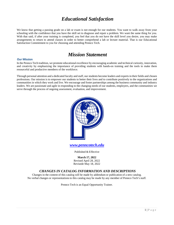### *Educational Satisfaction*

<span id="page-3-0"></span>We know that getting a passing grade on a lab or exam is not enough for our students. You want to walk away from your schooling with the confidence that you have the skill set to diagnose and repair a problem. We want the same thing for you. With that said, if after your training is completed, you feel that you do not have the skill level you desire, you may make arrangements to return to attend classes in order to better comprehend a lab or lecture material. That is our Educational Satisfaction Commitment to you for choosing and attending Pennco Tech.

### *Mission Statement*

#### <span id="page-3-2"></span><span id="page-3-1"></span>**Our Mission**

In the Pennco Tech tradition, we promote educational excellence by encouraging academic and technical curiosity, innovation, and creativity by emphasizing the importance of providing students with hands-on training and the tools to make them resourceful and productive members of the workforce.

Through personal attention and a dedicated faculty and staff, our students become leaders and experts in their fields and chosen professions. Our mission is to empower our students to better their lives and to contribute positively to the organizations and communities in which they work and live. We encourage and foster partnerships among the business community and industry leaders. We are passionate and agile in responding to the changing needs of our students, employers, and the communities we serve through the process of ongoing assessment, evaluation, and improvement.



*[www.penncotech.edu](http://www.penncotech.edu/)*

Published & Effective

**March 17, 2022** Revised April 28, 2022 Revisede May 18, 2022

#### *CHANGES IN CATALOG INFORMATION AND DESCRIPTIONS*

<span id="page-3-3"></span>Changes in the content of this catalog will be made by addendum or publication of a new catalog. No verbal changes or representationsto this catalog may be made by any member of Pennco Tech's staff.

Pennco Tech is an Equal Opportunity Trainer.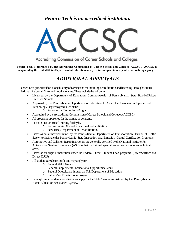### *Pennco Tech is an accredited institution.*

<span id="page-4-0"></span>

Accrediting Commission of Career Schools and Colleges

<span id="page-4-1"></span>**Pennco Tech is accredited by the Accrediting Commission of Career Schools and Colleges (ACCSC). ACCSC is recognized by the United States Department of Education as a private, non-profit, independent accrediting agency.**

### *ADDITIONAL APPROVALS*

Pennco Tech prides itself on a long history of earning and maintaining accreditation and licensing through various National, Regional, State, and Local agencies. These include the following:

- Licensed by the Department of Education, Commonwealth of Pennsylvania, State Board of Private Licensed Schools.
- Approved by the Pennsylvania Department of Education to Award the Associate in Specialized Technology Degree to graduates of the:
	- o AutomotiveTechnologyProgram.
- Accredited by the Accrediting Commission of Career Schools and Colleges (ACCSC).
- All programs approved for the training of veterans.
- Listed as an authorized training facility by
	- o Pennsylvania OfficeofVocational Rehabilitation
	- o NewJerseyDepartment ofRehabilitation.
- Listed as an authorized trainer by the Pennsylvania Department of Transportation, Bureau of Traffic Safety, to facilitate the Pennsylvania State Inspection and Emission ControlCertification Programs.
- Automotive and Collision Repair instructors are generally certified by the National Institute for Automotive Service Excellence (ASE) in their individual specialties as well as in othertechnical areas.
- Listed as an eligible institution under the Federal Direct Student Loan programs (Direct Stafford and Direct PLUS).
- All students are also eligible and may apply for:
	- o Federal PELLGrants
	- o Federal Supplemental Educational Opportunity Grants
	- o Federal DirectLoansthroughtheU.S.Department ofEducation
	- o Sallie Mae Private Loan Program.
- Pennsylvania residents are eligible to apply for the State Grant administered by the Pennsylvania Higher Education Assistance Agency.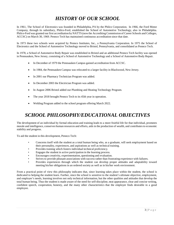### *HISTORY OF OUR SCHOOL*

<span id="page-5-0"></span>In 1961, The School of Electronics was founded in Philadelphia, PA by the Philco Corporation. In 1966, the Ford Motor Company, through its subsidiary, Philco-Ford, established the School of Automotive Technology, also in Philadelphia. Philco-Ford was granted our first accreditation by NATTS (now the Accrediting Commission of Career Schools and Colleges, ACCSC) on March 30, 1969. Pennco Tech has maintained continuous accreditation since that date.

In 1973 these two schools were acquired by Pennco Institutes, Inc., a Pennsylvania Corporation. In 1975 the School of Electronics and the School of Automotive Technology moved to Bristol, Pennsylvania, and consolidated as Pennco Tech.

In 1978, a School of Automotive Body Repair was established in Bristol and an additional Pennco Tech facility was opened in Pennsauken, New Jersey, consisting of a School of Automotive Technology and a School of Automotive Body Repair.

- In December of 1979 the Pennsauken Campus gained accreditation from ACCSC.
- In 1984, the Pennsauken Campus was relocated to a larger facility in Blackwood, New Jersey.
- In 2001 our Pharmacy Technician Program was added.
- In December 2003 the Electrician Program was added.
- In August 2006 Bristol added our Plumbing and Heating Technology Program.
- The year 2018 brought Pennco Tech to its 45th year in operation.
- Welding Program added to the school program offering March 2022.

### <span id="page-5-1"></span>*SCHOOL PHILOSOPHY/EDUCATIONAL OBJECTIVES*

The development of an individual by formal education and training leads to a more fruitful life for that individual, promotes morale and intelligence, conserves human resources and efforts, aids in the production of wealth, and contributes to economic stability and progress.

To aid the student in this development, Pennco Tech:

- Concerns itself with the student as a total human being who, as a graduate, will seek employment based on their personality, experiences, and aspirations as well as technical training.
- Provides training which fosters individual technical proficiency.
- Engages the student in active participation in the learning process.
- Encourages creativity, experimentation, questioning and evaluation.
- Strives to provide pleasant associations with success rather than frustrating experience with failures.
- Provides experiences through which the student can develop proper attitudes and adaptability toward meeting his/her obligations in an ordered society as well as in his/her work environment.

From a practical point of view this philosophy indicates that, since learning takes place within the student, the school is dedicated to helping the student learn. Further, since the school is sensitive to the student's ultimate objective, employment, and employer's needs, learning involves not only technical information, but the other qualities and attitudes that develop the total human being. Thus the student is made aware of the need for self-discipline, neat appearance, clear and concise writing, confident speech, cooperation, honesty, and the many other characteristics that the employer finds desirable in a good employee.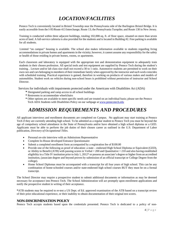### *LOCATION/FACILITIES*

<span id="page-6-0"></span>Pennco Tech is conveniently located in Bristol Township near the Pennsylvania side of the Burlington Bristol Bridge. It is easily accessible from the I-95/Route 413 Interchange; Route 13; the Pennsylvania Turnpike; and Route 130 in New Jersey.

Training is conducted within three adjacent buildings, totaling 102,000-sq. ft. of floor space, situated on more than seven acres of land. A full-service cafeteria is also provided for the students and is located in Building #2. Free parking is available for all students.

Limited "on campus" housing is available. The school also makes information available to students regarding living accommodations in private homes and apartments in the vicinity; however, it cannot assume any responsibility for the safety or health of those residing in private homes, rooms, or apartments.

Each classroom and laboratory is equipped with the appropriate test and demonstration equipment to adequately train students in their chosen profession. All special tools and test equipment are supplied by Pennco Tech during the student's training. . Lecture and/or lab class size shall not exceed a 30 to 1 ratio. Automotive students are permitted to work on their own cars and cars belonging to members of their immediate family when approved by the instructor and such work coincides with scheduled training. Practical experience is gained, therefore in working on products of various makes and models of automobiles. Student work on vehicles during non-school hours is prohibited without permission of instructor and School Director.

<span id="page-6-1"></span>Services for individuals with impairments protected under the Americans with Disabilities Act (ADA)

- **\*** Designated parking and ramp access to all school buildings
- **\*** Restrooms to accommodate wheelchairs
- **\*** Other options are available to meet specific needs and are treated on an individual basis; please see the Pennco Tech ADA Students with Disabilities Policy on our webpage a[t www.penncotech.edu](http://www.penncotech.edu/)

### *ADMISSION REQUIREMENTS AND PROCEDURES*

<span id="page-6-2"></span>All applicant interviews and enrollment documents are completed on Campus. No applicant may start training at Pennco Tech if they are currently attending high school. To be admitted as a regular student to Pennco Tech you must be beyond the age of compulsory school attendance in the State of Pennsylvania and/or have obtained a high school diploma or a GED. Applicants must be able to perform the job duties of their chosen career as outlined in the U.S. Department of Labor publication, *Directory of Occupational Titles*.

- Personal *on-site* interview with an Admissions Representative
- Complete In-House developed Entrance Questionnaire
- Submit a completed enrollment form accompanied by a registration fee of \$100.00
- Provide one of the following as proof of education: a state endorsed High School Diploma or Equivalent (GED), or Ability to Benefit (ATB) with passing scores in Verbal = 200 and Quantitative = 210 and also having established eligibility in a Title IV institution prior to July 1, 2012\* or possess an associate's degree or higher from an accredited institution, (associate degree and beyond proven by submission of an official transcript or College Degree from the college).
- Home School Diplomas must be accompanied with a transcript for all four years of high school. This can be any combination of home-schooled courses and/or state-endorsed high school courses BUT they must be on a formal transcript.

The School Director may require a prospective student to submit additional documents or information as may be deemed necessary for acceptance into Pennco Tech. The School Administration will act promptly upon enrollment applications and notify the prospective student in writing of their acceptance.

**\***ATB students may be required to re-test a US Dept. of Ed. approved examination of the ATB based on a transcript review of their prior educational experience, or their inability to obtain documentation of their original test scores.

#### <span id="page-6-3"></span>**NON-DISCRIMINATION POLICY**

Pennco Tech accepts students based upon the credentials presented. Pennco Tech is dedicated to a policy of non-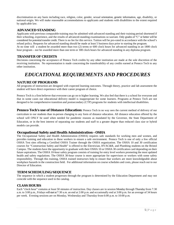discrimination on any basis including race, religion, color, gender, sexual orientation, genetic information, age, disability, or national origin. We will make reasonable accommodations to applicants and students with disabilities to the extent required by applicable law.

#### <span id="page-7-0"></span>**ADVANCED STANDING**

Applicants with previous comparable training may be admitted with advanced standing and their training period shortened if their schooling, experience, and the results of advanced-standing examinations so warrant. Only grades of "C" or better will be considered for potential transfer credit. There is no fee for this service. Tuition will be pro-rated in accordance with the school's refund policy. Requests for advanced standing should be made at least 5 business days prior to starting the program. At no time will a student be awarded more than two (2) terms or 600 clock hours for advanced standing in an 1800 clock hour program – nor be awarded more than one term or 300 clock hours for advanced standing in any diploma program.

#### <span id="page-7-1"></span>**TRANSFER OF CREDITS**

Decisions concerning the acceptance of Pennco Tech credits by any other institution are made at the sole discretion of the receiving institution. No representation is made concerning the transferability of any credits earned at Pennco Tech to any other institution.

### <span id="page-7-2"></span>*EDUCATIONAL REQUIREMENTS AND PROCEDURES*

#### <span id="page-7-3"></span>**NATURE OF PROGRAMS**

All programs of instruction are designed with expected learning outcomes. Through theory, practice and lab assessment the student will have direct experience with their career program of choice.

Pennco Tech is a firm believer that everyone can go on to higher learning. We also feel that there is a school for everyone and that in some cases our educational delivery model is inappropriate for some learners. Programs at Pennco Tech are not designed to be comprehensive transition and postsecondary (CTP) programs for students with intellectual disabilities.

**Pennco Tech's use of Distance Education:** Pennco Tech in no way sees the current method of delivery of our curriculum to our students than in-person changing to any form of distance education. All distance education offered by the school will ONLY be used when needed for pandemic reasons as mandated by the Governor, the State Department of Education, or in the best interest of separating our students and staff to a greater degree than reduced class size or hybrid models can provide.

#### <span id="page-7-4"></span>**Occupational Safety and Health Administration - OSHA**

The Occupational Safety and Health Administration (OSHA) requires safe standards for working men and women, and provides training and education to these workers to ensure a safe environment. Pennco Tech is one of only a few official OSHA Test sites offering a Certified OSHA Trainer through the OSHA organization. The OSHA 10 and 30 certification courses for "Construction Safety and Health" is offered to the Electrician, HVAC&R, and Plumbing students on the Bristol Campus. The students have the opportunity to graduate with their OSHA 10 or OSHA 30 certification card depending on their future aspirations. The OSHA 10-hour safety program consists of training for entry level workers promoting the most updated health and safety regulations. The OSHA 30-hour course is more appropriate for supervisors or workers with some safety responsibility. Through this training, OSHA trained instructors help to ensure that workers are more knowledgeable about workplace hazards in the construction field. For additional information on course schedules and costs, please reach out to our Director of Education.

#### <span id="page-7-5"></span>**TERM SCHEDULING/SEQUENCE**

The sequence in which a student progresses through the program is determined by the Education Department and may not coincide with the sequence used in the catalog.

#### <span id="page-7-6"></span>**CLASS HOURS**

Each "clock hour" contains at least 50 minutes of instruction. Day classes are in session Monday through Thursday from 7:30 a.m. to 3:00 p.m., Fridays will start at7:30 a.m. an end at 2:00 p.m. and occasionally end at 3:00 p.m. for an average of 34 hours per week. Evening sessions are on Monday, Wednesday and Thursday from 6:00 p.m. to 10:00 p.m.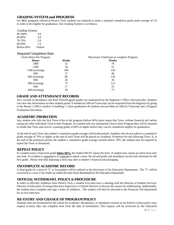#### <span id="page-8-0"></span>**GRADING SYSTEM and PROGRESS**

For **ALL** programs offered at Pennco Tech, students are required to attain a minimal cumulative grade point average of 2.0 in order to be eligible for graduation. Our Grading System is as follows:

<span id="page-8-1"></span>

| <b>Grading System</b> |         |
|-----------------------|---------|
| 90-100%               | 4.0     |
| 80-89%                | 3.0     |
| 70-79%                | 2.0     |
| 60-69%                | 1.0     |
| Below-60%             | Failure |

#### <span id="page-8-2"></span>Required Completion Rate

| Clock Hours Per Program |       | Maximum Timeframe to complete Program |
|-------------------------|-------|---------------------------------------|
| <b>Hours</b>            | Weeks | Weeks                                 |
| 1800                    | 52    | 78                                    |
| 1200                    | 34    | 51                                    |
| 1200 (evening)          | 100   | 150                                   |
| 960                     | 27    | 40                                    |
| 960 (evening)           | 80    | 120                                   |
| 900                     | 26    | 39                                    |
| 900 (evening)           | 75    | 113                                   |
| 600                     | 17    | 25                                    |
| 600 (evening)           | 50    | 75                                    |

#### **GRADE AND ATTENDANCE RECORDS**

ALL records of attendance and final Term/Program grades are maintained by the Registrar's Office electronically. Students can view this information on their student portal. If needed an Official Transcript can be requested from the Registrar by going to the Bursar's Office window in building 3. Upon graduation all students are provided an Official Transcript and a Program Graduation Document.

#### <span id="page-8-3"></span>**ACADEMIC PROBATION**

Any student who fails the first Term of his or her program (below 60%) must repeat that Term, without financial aid, before taking any other individual Term in their Program. If a student fails any subsequent Term in their Program they will be required to retake that Term and receive a passing grade of 60% or higher before they can be considered eligible for graduation.

At the end of each Term, the student's cumulative grade average will be determined. Students who do not achieve a cumulative grade average of 70% or higher at the end of each Term will be placed on *Academic Probation* for the following Term. If, at the end of the probation period, the student's cumulative grade average remains below 70%, the student may be required to repeat the Term or dismissed.

#### <span id="page-8-4"></span>**REPEAT POLICY**

If a student earns a final term grade **below 60%,** the student MUST repeat the term. A student may repeat an entire term only one time. If a student is *required* to or *requests* to repeat a term, the second grade and attendance record will substitute for the first grade. Please note that repeating a term may alter a student's financial aid packaging.

#### <span id="page-8-5"></span>**INCOMPLETE ACADEMIC RECORD**

A final grade for a term of "I" or Incomplete will be utilized at the discretion of the Education Department. The "I" will be converted to a zero if not made up within the time frame determined by the Education Department

#### <span id="page-8-6"></span>**OFFICIAL WITHDRAWL POLICY & PROCEDURE**

In order to officially withdraw from Pennco Tech, a student first must have a meeting with the Director of Student Services, Director of Education, Evening Education Supervisor or School Director to discuss the reason for withdrawing. Additionally, the student must complete and sign a letter of withdraw. The student will then be directed to the Financial Aid department for an exit interview.

#### <span id="page-8-7"></span>**RE-ENTRY AND CHANGE OF PROGRAM POLICY**

Students who are terminated by the school for academic, disciplinary, or attendance reasons as set forth by school policy may request re-entry after one complete term from the date of termination. This request will be reviewed by the Education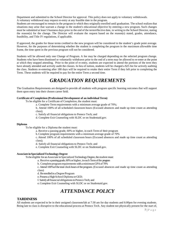Department and submitted to the School Director for approval. This policy does not apply to voluntary withdrawals. A voluntary withdrawal may request re-entry at any feasible date in the program.

Students are encouraged to remain in the program in which they originally enrolled until graduation. The school realizes that situations may arise that warrant a change in the student's educational objective by entering a new program. Such changes must be submitted at least 5 business days prior to the end of the term/effective date, in writing to the School Director, stating the reason(s) for the change. The Director will evaluate the request based on the reason(s) stated, grades, attendance, feasibility, and Title IV regulations, if applicable.

If approved, the grades for those terms credited to the new program will be considered in the student's grade point average. However, for the purposes of determining whether the student is completing the program in the maximum allowable time frame, the time spent in the previous program will not be considered.

Students will be allowed only one Change of Program. A fee may be charged depending on the selected program change. Students who have been dismissed or voluntarily withdrawn prior to the end of a term may be allowed to re-enter at the point at which they stopped attending. Prior to the point of re-entry, students are expected to attend the portions of the term they have already attended and actively audit the classes. In lieu of tuition, students will be charged a \$25 fee for actively auditing the class. Students re-entering after 180 days will be required to retake their entire Term if they left prior to completing the Term. These students will be required to pay for the entire Term a second time.

### *GRADUATION REQUIREMENTS*

<span id="page-9-0"></span>The Graduation Requirements are designed to provide all students with program specific learning outcomes that will support them upon entry into their chosen career field.

#### **Certificate of Completion (Professional Development of an individual Term)**

To be eligible for a Certificate of Completion, the student must:

a. Complete Term requirements with a minimum average grade of 70%;

b. Attend 100% of all scheduled classroom hours (Excused absences and made up time count as attending class);

c. Satisfy all financial obligations to Pennco Tech; and

d. Complete Exit Counseling with SLDC or on Studentaid.gov.

#### **Diploma**

To be eligible for a Diploma the student must:

a. Receive a passing grade, 60% or higher, in each Term of their program

b. Complete program requirements with a minimum average grade of 70%

c. Attend 100% of all scheduled classroom hours (Excused absences and made up time count as attending class);

d. Satisfy all financial obligations to Pennco Tech; and

e. Complete Exit Counseling with SLDC or on Studentaid.gov.

#### **Associate inSpecializedTechnology Degree**

To be eligible for an Associate in Specialized Technology Degree, the student must:

a. Receive a passing grade, 60% or higher, in each Term of the program

b. Complete programrequirements witha minimumGPAof70%

c. Attend 100% of the total clock hours of the program. (Excused absences and made up time count as attending class)

d. Be enrolled in a Degree Program

e. Possess a High School Diploma or GED;

f. SatisfyallfinancialobligationstoPenncoTech; and

e. Complete Exit Counseling with SLDC or on Studentaid.gov.

### *ATTENDANCE POLICY*

#### <span id="page-9-2"></span><span id="page-9-1"></span>**TARDINESS**

All students are expected to be in their assigned classroom/lab at 7:30 am for day students and 6:00pm for evening students. Being late to class is disruptive to the educational process at Pennco Tech. Any student not physically present for the start of,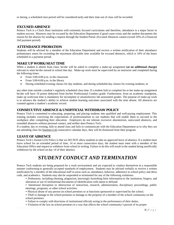or during, a scheduled class period will be considered tardy and their time out of class will be recorded.

#### <span id="page-10-0"></span>**EXCUSED ABSENCE**

Pennco Tech is a Clock Hour institution with extremely focused curriculums and therefore, attendance is a major factor in student success. Absences may be excused by the Education Department if good cause exists and the student documents the reason for the absence by sending a request through the Student Portal. (Excused Absences cannot exceed 10% of a Financial Aid payment period).

#### <span id="page-10-1"></span>**ATTENDANCE PROBATION**

Students will be advised by a member of the Education Department and receive a written notification of their attendance probationary status for exceeding the maximum allowable time available for excused absences, which is 10% of the hours scheduled in a payment period.

#### <span id="page-10-2"></span>**MAKE UP WORK/SEAT TIME**

When a student is absent from class, he/she will be asked to complete a make-up assignment (at no additional charge) relevant to what he/she missed in school that day. Make-up work must be supervised by an instructor and completed during the following times:

- From 3:00-4:00 p.m. in the classroom
- From 3:00-6:00 p.m. in the library
- During scheduled evening classes for day students, and during scheduled day classes for evening students; or

any other time outside a student's regularly scheduled class time. If a student fails to complete his or her make-up assignment he/she will have 10 points deducted from his/her Professional Conduct grade. Furthermore, from an academic standpoint, make up work/seat time is mandatory for incomplete or unsatisfactory lab assessment grades. The purpose of make-up work is to advance the student's ability to achieve student learning outcomes associated with the time absent. All absences are counted against a student's academic record.

#### <span id="page-10-3"></span>**CONSECUTIVE ABSENCE & UNOFFICIAL WITHDRAW POLICY**

Pennco Tech is committed to educating, preparing, and placing students into qualified and well-paying employment. This training includes conveying the expectations of professionalism to our students that will enable them to succeed in the workplace after completing their education. Employers do not tolerate excessive absenteeism, unexcused absences, and extended absences without personal contact, and neither does Pennco Tech.

If a student, day or evening, fails to attend class and fails to communicate with the Education Department as to why they are not attending class for <u>fourteen (14</u>) consecutive calendar days, they will be dismissed from their program.

#### <span id="page-10-4"></span>**LEAVE OF ABSENCE**

Pennco Tech's formal LOA Policy is that we DO NOT allow students to take an approved leave of absence. If a student must leave school for an extended period of time, 14 or more consecutive days, the student must meet with a member of the Education Office and request to withdraw from school in writing. Failure to do this will result in the student being unofficially withdrawn by the school on day 14 of their absence.

### *STUDENT CONDUCT AND TERMINATION*

<span id="page-10-5"></span>Pennco Tech students are being prepared for a work environment and are expected to conduct themselves in a responsible manner conforming to generally accepted standards of employment. Students may be advised verbally or receive a written notification by a member of the educational staff in areas such as; attendance, behavior, adherence to school policy and dress code, and academics. Students may also be suspended or terminated for any of the following violations:

- Dishonesty, including cheating, plagiarism, knowingly furnishing false information to the institution, forgery, and alteration or use of institutional documents of identification with intent to defraud.
- Intentional disruption or obstruction of instruction, research, administration, disciplinary proceedings, public meetings, programs, or other school activities.
- Physical abuse of any person on school premises or at functions sponsored or supervised by the school.
- Theft or damage to the school premises or damage to the property of a member of the school community on the school premises.
- Failure to comply with directions of institutional officials acting in the performance of their duties.
- Violation of the law on school premises in a way that affects the school community's pursuit of its proper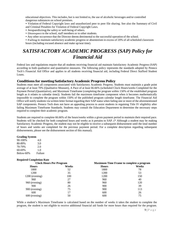educational objectives. This includes, but is not limited to, the use of alcoholic beverages and/or controlled dangerous substances on school premises.

• Violation of Federal Copyright laws and unauthorized peer to peer file sharing. See also the Summary of Civil and Criminal Penalties for Violation of Federal Copyright Laws.

- Jeopardizing the safety or well-being of others.
- Disrespect to the school, staff members or to other students.
- Any other occurrence that the Director deems detrimental to the successful operation of the school.

• Failing to maintain satisfactory academic progress or absenteeism in excess of 20% of all scheduled classroom hours (including excused absence and make up/seat time).

### <span id="page-11-0"></span>*SATISFACTORY ACADEMIC PROGRESS (SAP) Policy for Financial Aid*

Federal law and regulations require that all students receiving financial aid maintain Satisfactory Academic Progress (SAP) according to both qualitative and quantitative measures. The following policy represents the standards adopted by Pennco Tech's Financial Aid Office and applies to all students receiving financial aid, including Federal Direct Stafford Student Loans.

#### <span id="page-11-1"></span>**Conditions for meeting Satisfactory Academic Progress Policy**

Students must meet all components associated with Satisfactory Academic Progress. Students must maintain a grade point average of at least 70% (Qualitative Measure), A Pace of at least 66.66% (scheduled Clock Hours/weeks Completed for the Payment Period (Quantitative), and Maximum Timeframe (completing the program within 150% of the established program length as it relates to calendar time)). Students fail the maximum timeframe component when it becomes mathematically impossible to complete the program within 150% of the published program calendar length timeframe. The Financial Aid Office will notify students via written letter format regarding their SAP status when failing one or more of the aforementioned SAP components. Pennco Tech does not have an appealing process to assist students in regaining Title IV eligibility after failing Maximum Timeframe Standards. Students may consult the Education Department to determine the necessary steps required to complete their academic program.

Students are required to complete 66.66% of the hours/weeks within a given payment period to maintain their required pace. Students will be checked for both completed hours and weeks as it pertains to SAP. (\* Although a student may be making Satisfactory Academic Progress, the student may not be eligible to receive a subsequent disbursement until the total number of hours and weeks are completed for the previous payment period. For a complete description regarding subsequent disbursements, please see the disbursement section of this manual).

#### **Grading System**

| 90-100%   | 4.0     |
|-----------|---------|
| 80-89%    | 3.0     |
| 70-79%    | 2.0     |
| 60-69%    | 1.0     |
| Below-60% | Failure |

#### **Required Completion Rate**

| <b>Clock Hours Per Program</b> |       | <b>Maximum Time Frame to complete a program</b> |       |
|--------------------------------|-------|-------------------------------------------------|-------|
| <b>Hours</b>                   | Weeks | <b>Hours</b>                                    | Weeks |
| 1800                           | 52    | 1800                                            | 78    |
| 1200                           | 35    | 1200                                            | 53    |
| 1200 (evening)                 | 100   | 1200                                            | 150   |
| 960                            | 27    | 960                                             | 40    |
| 960 (evening)                  | 80    | 960                                             | 120   |
| 900                            | 26    | 900                                             | 39    |
| 900 (evening)                  | 75    | 900                                             | 113   |
| 600                            | 17    | 600                                             | 26    |
| $600$ (evening)                | 50    | 600                                             | 75    |

While a student's Maximum Timeframe is calculated based on the number of weeks it takes the student to complete the program, the student is not eligible to receive additional financial aid funds for more hours than required for the program.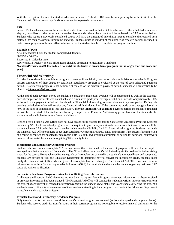With the exception of a re-enter student who enters Pennco Tech after 180 days from separating from the institution the Financial Aid Office cannot pay funds to a student for repeated course hours.

#### **Pace**

Pennco Tech evaluates pace as the students attended time compared to that which is scheduled. If the scheduled hours have elapsed, regardless of whether or not the student has attended them, the student will be reviewed for SAP as noted below. Students who repeat a previously completed course will have the amount of time that it takes to complete the repeated term factored into their Maximum Timeframe standing. Students must be mindful of the number of repeated courses included in their current program as this can affect whether or not the student is able to complete the program on time.

#### **Example of Pace**

At 450 scheduled hours the student completed 300 hours  $300/450 = 66.66\%$ Expressed in Calendar time 8.66 weeks/13 weeks = 66.66% (Both items checked according to Maximum Timeframe) **\*Next SAP review is at 900 scheduled hours (if the student is in an academic program that is longer than one academic year)**

#### <span id="page-12-0"></span>**Financial Aid Warning**

In order for students in a clock-hour program to receive financial aid, they must maintain Satisfactory Academic Progress toward completion of their degree or certificate. Satisfactory progress is evaluated at the end of each scheduled payment period. If satisfactory progress is not achieved at the end of the scheduled payment period, students will automatically be placed on **Financial Aid Warning**.

At the end of each payment period the student's cumulative grade point average will be determined as well as the students' pace of completion. Students who do not achieve a cumulative grade point average of 70% or a Pace of Completion of 66.66% at the end of the payment period will be placed on Financial Aid Warning for one subsequent payment period. During this warning period, the student will receive any financial aid funds due to him. If the cumulative grade point average is less than 70% or the pace of completion is less than 66.66% after the **Financial Aid Warning** payment period, the student's financial aid will be terminated. If the student satisfactorily completes the Financial Aid Warning period based on the standards, the student remains eligible for future financial aid funds.

Pennco Tech's Financial Aid Office does not have an appealing process for failing Satisfactory Academic Progress. Students not making SAP for financial aid programs will be required to pay for any additional courses from their own resources. If the student achieves SAP on his/her own, then the student regains eligibility for ALL financial aid programs. Students must visit the Financial Aid Office to inquire about their Satisfactory Academic Progress status and confirm if the successful completion of a course or courses has enabled them to regain Title IV eligibility; breaks in enrollment or paying for additional coursework does not alone assist the student in regaining Title IV eligibility.

#### **Incompletes and Satisfactory Academic Progress**

Students who receive an incomplete "I" for any course that is included in their current program will have the incomplete averaged into their cumulative GPA standard. The "I" will affect the student's GPA standing similar to the effect of receiving a zero for the course. Hours achieved from the grade of Incomplete are counted in the student's attempted hours and completed. Students are advised to visit the Education Department to determine how to convert the incomplete grade. Students must notify the Financial Aid Office when a grade of incomplete has been changed. The Financial Aid Office will use the new information to recheck Satisfactory Academic Progress (SAP) for the student and update the student regarding their new SAP status via written notification.

#### **Satisfactory Academic Progress Review for Conflicting/New Information**

In all cases the Financial Aid Office must recheck Satisfactory Academic Progress when new information has been received or previous information has been changed. The Financial Aid office will contact the student in written letter format to inform the student of any current or changed information regarding the student's SAP status due to any updates affecting the student's academic record. Students who are unsure of their academic standing in their program must contact the Education Department to resolve any discrepancies or issues.

#### **Transfer Hours and Satisfactory Academic Progress**

Only transfer credits that count toward the student's current program are counted (as both attempted and completed hours). Students who receive credit for transfer hours in their current program are not eligible to receive financial aid funds for the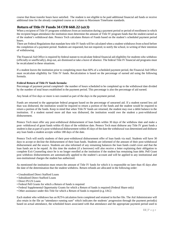course that those transfer hours have satisfied. The student is not eligible to be paid additional financial aid funds or receive additional time for the already completed course as it relates to Maximum Timeframe standards.

#### <span id="page-13-0"></span>**Return of Title IV Funds 34 CFR 668.22 (a)(1)**

When a recipient of Title IV programs withdraws from an institution during a payment period or period of enrollment in which the recipient began attendance the institution must determine the amount of Title IV program funds that the student earned as of the student's withdrawal date. Pennco Tech calculates Return of Funds based on the student's scheduled payment period hours.

There are Federal Regulations that mandate how title IV funds will be calculated when a student withdraws from school before the completion of a payment period. Students are requested, but not required, to notify the school, in writing of their intention of withdrawing.

The Financial Aid Office is required by federal statute to recalculate federal financial aid eligibility for students who withdraw (officially or unofficially), drop out, are dismissed or take a leave of absence. The federal Title IV financial aid programs must be recalculated in these situations.

If a student leaves the institution prior to completing more than 60% of a scheduled payment period, the Financial Aid Office must recalculate eligibility for Title IV funds. Recalculation is based on the percentage of earned aid using the following formula.

#### **Federal Return of Title IV funds formula:**

Percentage of payment period completed= the number of hours scheduled to be completed up to the withdrawal date divided by the number of total hours established in the payment period. This percentage is also the percentage of aid earned.

Any break of five days or more is not counted as part of the days in the payment period.

Funds are returned to the appropriate federal program based on the percentage of unearned aid. If a student earned less aid than was disbursed, the institution would be required to return a portion of the funds and the student would be required to return a portion of the funds. Keep in mind that when Title IV funds are returned, the student may owe a debit balance to the institution. If a student earned more aid than was disbursed, the institution would owe the student a post-withdrawal disbursement.

Pennco Tech must offer any post-withdrawal disbursement of loan funds within 30 days of the withdraw date and make a post- withdrawal of grant funds within 45 days of the withdraw date. Pennco Tech must disburse any Title IV grant funds a student is due as part of a post-withdrawal disbursement within 45 days of the date the withdrawal was determined and disburse any loan funds a student accepts within 180 days of the date.

Pennco Tech will notify students of their post-withdrawal disbursement offer of loan funds via mail. Students will have 30 days to accept or decline the disbursement of their loan funds. Students are informed of the amount of their post-withdrawal disbursement and the source. Students are also informed of any remaining balances the loan funds could cover and that the loan funds are to be repaid. At this time the student (if a borrower) will also receive a letter explaining their obligation to complete Exit Counseling since he is no longer enrolled at the institution if the student has remaining loan debt. Pell Grant post withdraw disbursements are automatically applied to the student's account and will be applied to any institutional and non-institutional charges the student has authorized.

As mentioned the institution must return the amount of Title IV funds for which it is responsible no later than 45 days after the date of the determination that the student withdrew. Return refunds are allocated in the following order:

- Unsubsidized Direct Stafford Loans
- Subsidized Direct Stafford Loans
- Direct PLUS Loans
- Federal Pell Grants for which a Return of funds is required
- Federal Supplemental Opportunity Grants for which a Return of funds is required (Federal Share only)
- Other assistance under this Title for which a Return of funds is required (e.g. IAG)

Each student who withdraws has an R2T4 calculation form completed and retained in his/her file. The Aid Administrator will also retain in the file an "attendance running sum" which indicates the students' progression through the payment period(s) based on actual attendance, the scheduled hours associated with that attendance and the appropriate payment period used to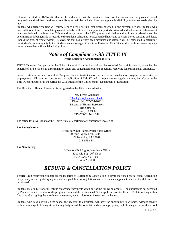calculate the students R2T4. Aid that has been disbursed will be considered based on the student's actual payment period progression and aid that could have been disbursed will be included based on applicable eligibility guidelines established by law.

Students who perfectly attend will follow Pennco Tech's "set up" disbursement schedule and payment periods. Students who need additional time to complete payment periods, will have their payment periods extended and subsequent disbursement dates rescheduled to a later date. This rule directly impacts the R2T4 process calculation and will be considered when the determination is being made in regards to the students scheduled hours, attended hours and payment period start and end dates. Should the student reenter within 180 days, aid that has already been disbursed and retained will be calculated to determine the student's remaining eligibility. Students are encouraged to visit the Financial Aid Office to discuss how reentering may impact the student's financial aid eligibility.

### *Notice of Compliance with TITLE IX* **Of the Education Amendments of 1972**

<span id="page-14-0"></span>**TITLE IX** states, "no person in the United States shall on the basis of sex, be excluded for participation in, be denied the benefits of, or be subject to discrimination under any educational program or activity receiving federal financial assistance."

Pennco Institutes, Inc. and both of its Campuses do not discriminate on the basis of sex in education programs or activities, or employment. All inquiries concerning the application of Title IX and its implementing regulations may be referred to the Title IX coordinator or to the Office for Civil Rights of the United States' Department of Education.

The Director of Human Resources is designated as the Title IX coordinator.

Ms. Teresa Gallagher [TGallagher@penncotech.edu](mailto:TGallagher@penncotech.edu) Direct dial: 267-554-7623 Director of Human Resources 3815 Otter St. Bristol, PA 19007 215-785-0111ext. 342

The office for Civil Rights of the United States Department of Education is located at:

**For Pennsylvania:** 

Office for Civil Rights, Philadelphia Office 100 Penn Square East, Suite 515 Philadelphia, PA 19107 215-656-8541

**For New Jersey:** 

Office for Civil Rights, New York Office  $3200$  Old Slip,  $26<sup>th</sup>$  Floor New York, NY 10005 646-428-3900

### *REFUND & CANCELLATION POLICY*

<span id="page-14-1"></span>**Pennco Tech** reserves the right to amend the terms of its Refund & Cancellation Policy to meet the Federal, State, Accrediting Body or any other regulatory agency statues, guidelines or regulations in effect when an applicant or student withdraws or is terminated.

Students are eligible for a full refund on advance payments when one of the following occurs: 1. an applicant is not accepted by Pennco Tech, 2. the start of the program is rescheduled or canceled, 3. the applicant notifies Pennco Tech in writing within five days after signing the enrollment agreement, even if classroom instruction has begun.

Students who have not visited the school facility prior to enrollment will have the opportunity to withdraw without penalty within three days following either the regularly scheduled orientation date, as appropriate, or following a tour of the school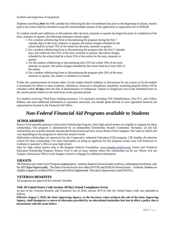facilities and inspection of equipment.

Students cancelling **after** the fifth calendar day following the date of enrollment but prior to the beginning of classes, monies paid to the school shall be refunded except the nonrefundable amount of the application or registration fee of \$100.00

If a student enrolls and withdraws or discontinues after the term, semester or quarter has begun but prior to completion of the term, semester or quarter, the following minimum refunds apply:

- 1. For a student withdrawing from or discontinuing the program during the first 7 calendar days of the term, semester or quarter, the tuition charges refunded by the school shall be at least 75% of the tuition for the term, semester or quarter.
- 2. For a student withdrawing from or discontinuing the program after the first 7 calendar days, but within the first 25% of the term, semester or quarter, the tuition charges refunded by the school shall be at least 55% of the tuition for the term, semester or quarter.
- 3. For the student withdrawing or discontinuing after 25% but within 50% of the term, semester or quarter, the tuition charges refunded by the school shall be at least 30% of the tuition.
- 4. For a student withdrawing from or discontinuing the program after 50% of the term, semester or quarter, the student is entitled to no refund.

If after the commencement of classes either: (1) the student should withdraw or discontinue for any reason or (2) the student is terminated for failure to meet academic, attendance, financial or disciplinary standards, remaining prepaid tuition will be refunded within **30 days** after the date of determination of withdrawal. Tuition is charged pro rata to the scheduled hours in the current period relative to the total hours in the payment period.

For students receiving Third-Party funding assistance, VA assistance including VOC Rehabilitation, Post 9/11, and Yellow Ribbon, and need additional information or questions answered, you should speak directly to your appointed financial aid representative located in the Financial Aid Office.

### *Non-Federal Financial Aid Programs available to Students*

#### <span id="page-15-1"></span><span id="page-15-0"></span>**SCHOLARSHIPS**

Pennco Tech annually sponsors a full-tuition Scholarship Program. Only high school seniors are eligible to compete for these scholarships. The program is administered by an independent Scholarship Awards Committee. Normally, six (6) full scholarships are awarded annually between the Pennsylvania and New Jersey Pennco Tech Campuses. The value of which will vary depending on the programs in which the winners enroll.

Half-tuition scholarships are sponsored for the Cooperative Industrial Education (CIE) program. CIE handles all selection criteria for these scholarships. For more information on being an applicant for this program contact your CIE Instructor or Guidance Counselor's office at your high school.

Also for high school seniors only is the Imagine America Foundation, [www.imagine-america.org,](http://www.imagine-america.org/) Career and Technical Education Scholarship Program. Pennco Tech is one of many schools where this scholarship can be use. Please visit our Campus Admissions Office or the Imagine America webpage for additional information.

#### <span id="page-15-2"></span>**GRANTS**

The Pennsylvania State Grant Program awards grants to students, based on financial need, residency, and programenrollment, only the AST Degree Programs qualify. The State of Pennsylvania now offers(PATIP) and (EAP) for Pennsylvania residents. Students are eligible to apply for a Federal PELL Grant and Federal Supplemental Education Opportunity Grant (FSEOG).

#### <span id="page-15-3"></span>**VETERAN BENEFITS**

All programs are approved for veterans' benefits.

#### **Title 38 United States Code Section 3679(e) School Compliance Form**

As part of the Veterans Benefits and Transition Act of 2018, section 3679 of title 38, United States Code was amended as follows:

**Effective August 1, 2019, the State Approving Agency, or the Secretary when acting in the role of the State Approving Agency, shall disapprove a course of education provided by an educational institution that has in effect a policy that is inconsistent with the areas below:**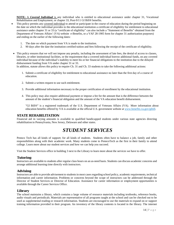**NOTE:** A *Covered Individual* is any individual who is entitled to educational assistance under chapter 31, Vocational Rehabilitation and Employment, or chapter 33, Post-9/11 GI Bill® benefits.

- This policy permits any covered individual to attend or participate in the course of education during the period beginning on the date on which the individual provides to the educational institution a certificate of eligibility for entitlement to educational assistance under chapter 31 or 33 (a "certificate of eligibility" can also include a "Statement of Benefits" obtained from the Department of Veterans Affairs' (VA) website e-Benefits, or a VAF 28-1905 form for chapter 31 authorization purposes) and ending on the earlier of the following dates:
	- 1. The date on which payment from VA is made to the institution.
	- 2. 90 days after the date the institution certified tuition and fees following the receipt of the certificate of eligibility.
- This policy ensures that we will not impose any penalty, including the assessment of late fees, the denial of access to classes, libraries, or other institutional facilities, or the requirement that a covered individual borrow additional funds, on any covered individual because of the individual's inability to meet his or her financial obligations to the institution due to the delayed disbursement funding from VA under chapter 31 or 33.

In addition, statute allows this policy to require Ch. 31 and Ch. 33 students to take the following additional actions:

- 1. Submit a certificate of eligibility for entitlement to educational assistance no later than the first day of a course of education.
- 2. Submit a written request to use such entitlement.
- 3. Provide additional information necessary to the proper certification of enrollment by the educational institution.
- 4. This policy may also require additional payment or impose a fee for the amount that is the difference between the amount of the student's financial obligation and the amount of the VA education benefit disbursement.

"GI Bill®" is a registered trademark of the U.S. Department of Veterans Affairs (VA). More information about education benefits offered by VA is available at the official U.S. government website at [www.benefits.va.gov/gibill.](http://www.benefits.va.gov/gibill)

#### <span id="page-16-0"></span>**STATE REHABILITATION**

<span id="page-16-1"></span>Financial aid in varying amounts is available to qualified handicapped students under various state agencies directing rehabilitation in Pennsylvania, New Jersey, Delaware and other states.

### *STUDENT SERVICES*

Pennco Tech has all kinds of support; for all kinds of students. Students often have to balance a job, family and other responsibilities along with their academic work. Many students come to PenncoTech as the first in their family to attend college. Learn more about our student services and how we can help you succeed.

Visit the Student Services office in building 3 next to the Library to learn more about the services we have to offer.

#### <span id="page-16-2"></span>**Tutoring**

Instructors are available to students after regular class hours on an as-need basis. Students can discuss academic concerns and arrange additional learning time directly with instructors.

#### <span id="page-16-3"></span>**Advising**

Instructors are able to provide advisement to studentsin most casesregarding school policy, academic requirements, technical information and career information. Problems or concerns beyond the scope of instructors can be addressed through the Director of Student Services or Director of Education. Assistance for career information or employment opportunities is available through the Career Services Office.

#### <span id="page-16-4"></span>**Library**

The school maintains a library, which contains a large volume of resource materials including textbooks, reference books, audio visuals and periodicals. Materials are representative of all programs taught at the school and can be checked out to be used as supplemental reading or research information. Students are encouraged to use the materials to expand on or support training information provided in their program. An inventory of the library contents is located in the library. The internet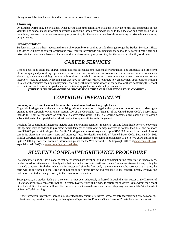library is available to all students and has access to the World Wide Web.

#### <span id="page-17-0"></span>**Housing**

On-campus Dorms may be available. Other Living accommodations are available in private homes and apartments in the vicinity. The school makes information available regarding these accommodations as to their location and relationship with the school; however, it does not assume any responsibility for the safety or health of those residing in private homes, rooms, or apartments.

#### <span id="page-17-1"></span>**Transportation**

Students can contact other students in the school for possible car-pooling or ride-sharing through the Student Services Office. The Office will provide student location and travel route information to all studentsin the school to help coordinate riders and drivers in the same areas, however, the school does not assume any responsibility for the safety or reliability of drivers.

### *CAREER SERVICES*

<span id="page-17-2"></span>Pennco Tech, at no additional charge, assists students in seeking employment after graduation. The assistance takes the form of encouraging and permitting representatives from local and out-of-city concerns to visit the school and interview students about to graduate, maintaining contacts with local and out-of-city concerns to determine employment openings and set up interviews, making contacts with companiesthat have not previously hired to initiate new employment opportunities, keeping in touch with graduates seeking employment, checking with interviewers who visit the school or those contacting the school as to their satisfaction with the graduates, and maintaining graduation and employment records.

**(THERE IS NO GUARANTEE OR PROMISE OF THE AVAILABILITY OF EMPLOYMENT.)**

### *COPYRIGHT INFRINGMENT*

#### <span id="page-17-3"></span>**Summary of Civil and Criminal Penalties for Violation of Federal Copyright Laws:**

Copyright infringement is the act of exercising, without permission or legal authority, one or more of the exclusive rights granted to the copyright owner under section 106 of the Copyright Act (Title 17 of the United States Code). These rights include the right to reproduce or distribute a copyrighted work. In the file-sharing context, downloading or uploading substantial parts of a copyrighted work without authority constitutes an infringement.

Penalties for copyright infringement include civil and criminal penalties. In general, anyone found liable for civil copyright infringement may be ordered to pay either actual damages or "statutory" damages affixed at not less than \$750 and not more than \$30,000 per work infringed. For "willful" infringement, a court may award up to \$150,000 per work infringed. A court can, in its discretion, also assess costs and attorneys' fees. For details, see Title 17, United States Code, Sections 504, 505. Willful copyright infringement can also result in criminal penalties, including imprisonment of up to five years and fines of up to \$250,000 per offense. For more information, please see the Web site of the U.S. Copyright Office [atwww.copyright.gov,](http://www.copyright.gov/) especially their FAQ's at [www.copyright.gov/help/faq.](http://www.copyright.gov/help/faq/)

### *STUDENT COMPLAINT/GRIEVANCE PROCEDURE*

<span id="page-17-4"></span>If a student feels he/she has a concern that needs immediate attention, or has a complaint during their time at Pennco Tech, he/she can addressthe concern directly with their instructor. Instructors will complete a Student Advisement Form, listing the student's concerns. Both the student and instructor will sign the form and, if the matter cannot be resolved at that time, the form will be forwarded to the Director of Education for further review and response. If the concern directly involves the instructor, the student can go directly to the Director of Education.

Subsequently, if a student feels that a concern has not been adequately addressed through their instructor or the Director of Education, he/she may contact the School Director. Every effort will be made to satisfy the student'sissues within the School Director's ability. If a student still feels his concerns have not been adequately addressed, they may then contact the Vice President of Pennco Tech in writing.

If after these avenues have been thoroughly exhausted and the student feels that the school has not adequately addressed a concern, the student may consider contacting the Pennsylvania Department of Education State Board of Private Licensed Schools at: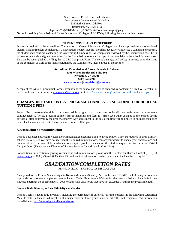#### State Board of Private Licensed Schools Pennsylvania Department of Education 333Market Street, 12th Floor Harrisburg, PA 17126-0333 Telephone (717)783-8228 Fax:(717)772-3622 or e-mail ra-pls@pa.gov. **Or** the Accrediting Commission of Career Schools and Colleges (ACCSC) by following the steps outlined below:

#### **STUDENT COMPLAINT PROCEDURE**

Schools accredited by the Accrediting Commission of Career Schools and Colleges must have a procedure and operational plan for handling student complaints. If a student does not feel that the school has adequately addressed a complaint or concern, the student may consider contacting the Accrediting Commission. All complaints reviewed by the Commission must be in written form and should grant permission for the Commission to forward a copy of the complaint to the school for a response. This can be accomplished by filing the ACCSC Complaint Form. The complainant(s) will be kept informed as to the status of the complaint as well as the final resolution by the Commission. Please direct all inquiries to:

> **Accrediting Commission of Career Schools & Colleges 2101 Wilson Boulevard, Suite 302 Arlington, VA 22201 (703) 247-4212 [www.accsc.org](http://www.accsc.org/) [| complaints@accsc.org](mailto:complaints@accsc.org)**

A copy of the ACCSC Complaint Form is available at the school and may be obtained by contacting Alfred W. Parcells, Jr. the School Director or online at [complaints@accsc.org](mailto:complaints@accsc.org) or at https://www.accsc.org/Student-Corner/Complaints.aspx.

#### <span id="page-18-0"></span>**CHANGES IN START DATES, PROGRAM CHANGES – INCLUDING CURRICULUM, TUITION & FEES**

Pennco Tech reserves the right to: (1) reschedule program start dates due to insufficient registration or unforeseen contingencies; (2) revise program outlines, lesson materials and fees; (3) make such other changes as the School deems advisable, after approval by the proper authority. Any adjustment to the cost of tuition will be limited to no more than once in a calendar year and at least 60 days advance notice will be given.

#### <span id="page-18-1"></span>**Vaccination / Immunization**

Pennco Tech does not require vaccination/immunization documentation to attend school. They are required to enter primary schools (K to 12). If you have not received the required immunizations, contact your doctor to update your vaccinations and immunizations. The state of Pennsylvania does require proof of vaccination if a student requests to live in our on Bristol Campus Dorm (Please see the Director of Student Services for additional information).

<span id="page-18-2"></span>For additional information regarding vaccinations and immunizations please visit the Centers for Disease Control (CDC): at [www.cdc.gov](http://www.cdc.gov/) or (800) 232-4636. On the CDC website this information can be found under the Healthy Living tab.

### *GRADUATION/COMPLETION RATES*

PENNCO TECH – BRISTOL, PA DISCLOSURE

As required by the Federal Student Right to Know and Campus Security Act, Public Law 101-542, the following information is provided on program completion rates at Pennco Tech. Refer to our Website for the latest statistics to include full time students entering school September 1, 2008 or later with class hours that have not exceeded 1½ times the program length.

#### **Student Body Diversity – Race/Ethnicity and Gender**

Pennco Tech's student body diversity, including the percentage of enrolled, full time students in the following categories: Male, Female, Self-identified members of a major racial or ethnic group; and Federal Pell Grant recipients. This information is available at[: http://nces.ed.gov/](http://nces.ed.gov/collegenavigator)**collegenavigator**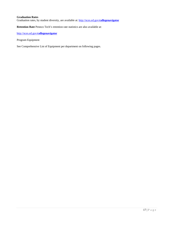#### **Graduation Rates**

Graduation rates, by student diversity, are available at: [http://nces.ed.gov/](http://nces.ed.gov/collegenavigator)**collegenavigator**

**Retention Rate** Pennco Tech's retention rate statistics are also available at:

[http://nces.ed.gov/](http://nces.ed.gov/collegenavigator)**collegenavigator**

Program Equipment

See Comprehensive List of Equipment per department on following pages.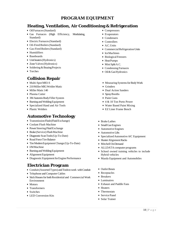### **PROGRAM EQUIPMENT**

### <span id="page-20-0"></span>**Heating, Ventilation, Air Conditioning & Refrigeration**

- Oil Furnaces (Standard)
- Gas Furnaces (High Efficiency, Modulating, Standard)
- Electric Furnaces (Standard)
- Oil-Fired Boilers (Standard)
- Gas-Fired Boilers (Standard)
- Humidifiers
- Baseboards
- Unit heaters (Hydronics)
- Zone Valves (Hydronics)
- Soldering & Brazing Projects
- Torches

### **Collision Repair**

- Multi-SpotM83-S
- 210Miller MIGWelder Matic
- Miller Matic 140
- Plasma Cutter
- 3M Automix Body Filler System
- BurningandWeldingEquipment
- Specialized Hand and Air Tools
- Plastic Welders

### **Automotive Technology**

- Transmission Flush (Fluid Exchange)
- Coolant Flush Machine
- Power Steering Fluid Exchange
- Brake(Service) FlushMachine
- Diagnostic Scan Tools (Up-To-Date)
- Road Force Tire Balance
- Tire Modern Equipment Change (Up-To-Date)
- I/MMachine
- Burning and Welding Equipment
- Alignment Equipment
- Diagnostic Equipment for Engine Performance

### **Electrician Program**

- Conduit(AssortedTypes) andToolstowork withConduit
- Telephone and Computer Cables
- Stick Houses for both Residential and Commercial Work Environment
- Motors
- Transformers
- Switches
- LED Conversion Kits
- Compressors
- Evaporators
- Condensers
- Controllers
- A.C.Units
- Commercial Refrigeration Units
- IceMachines
- BiologicalFreezers
- HeatPumps
- Mini SplitA.C.
- Condensing Furnaces
- Oil&GasHydronics
- Measuring Systems for Body Work
- Grinders
- Dual Action Sanders
- SprayBooths
- Paint Guns
- 4 & 10 Ton Porto Power
- Water Based Paint Mixing
- EZ Liner Frame Bench
- BrakeLathes
- Small Gas Engines
- Automotive Engines
- Automotive Lifts
- Specialized Automotive A/C Equipment
- Hunter Alignment Racks
- Mitchell On Demand
- ALLDATA computer programs
- School owned training vehicles to include Hybrid vehicles
- Mazda Equipment and Automobiles
- Outlet Boxes
- Receptacles
- Breakers
- Luminaires
- Exhaust and Paddle Fans
- Heaters
- Thermostats
- Service Panel
- Solar Trainer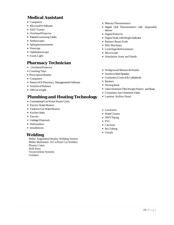### **Medical Assistant**

- Computers
- Microsoft<sup>®</sup> Software
- AED Trainer
- Overhead Projector
- Patient Examining Tables
- Stethoscopes
- Sphygmomanometer
- Otoscope
- Ophthalmoscope
- Exam Light

### **Pharmacy Technician**

- Overhead Projector
- Counting Trays
- Prescription Bottles
- Computers
- Pennco R/XPharmacy Management®Software
- Analytical Balance
- 100 Gm weight

### **Plumbing and Heating Technology**

- Conventional Gas Water Heater Units
- Electric Water Heaters
- Tankless Gas Water Heaters
- Kitchen Sinks
- Faucets
- GarbageDisposals
- Dishwashers
- Installations

### **Welding**

Miller Augmented Reality Welding System Miller Multimatic 255 w/Dual Cyl Welders Plasma Cutter Drill Press Oxyacetylene Systems **Grinders** 

- MercuryThermometers
- Digital Oral Thermometers with disposable sleeves
- Digital Pulse Ox
- Digital Scale with Height Indicator
- Balance Beam Scale
- EKGMachines
- Centrifuge Refractometer
- Microscope
- Simulation Arms and Hands
- Wedgewood Mortars&Pestles
- Stainless Steel Spatulas
- Graduates (Conical & Cylindrical)
- Beakers
- Stirring Rods
- Glass Ointment Tiles Weight Papers and Boats
- Containers-Jars Ointment Tubes
- Laminar Airflow Hood
- Lavatories
- WaterClosets
- DWVPiping
- PVC
- CastIron
- Pex Tubing
- Urinals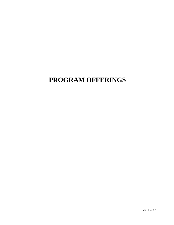# <span id="page-22-0"></span>**PROGRAM OFFERINGS**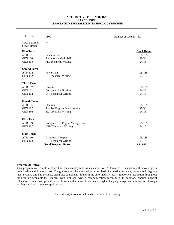#### **AUTOMOTIVETECHNOLOGY DAYSCHOOL ASSOCIATEINSPECIALIZEDTECHNOLOGYDEGREE**

| <b>Total Hours:</b>                           | 1800                                                         | Number of Weeks: | 52                 |
|-----------------------------------------------|--------------------------------------------------------------|------------------|--------------------|
| <b>Total Semester</b><br><b>Credit Hours:</b> | 75                                                           |                  |                    |
| <b>First Term</b>                             |                                                              |                  | <b>Clock Hours</b> |
| <b>ATD 101</b>                                | Fundamentals                                                 |                  | 105/105            |
| <b>GEN 100</b>                                | <b>Automotive Math Skills</b>                                |                  | 20/30              |
| <b>GEN 103</b>                                | FD. Technical Writing                                        |                  | 24/16              |
| <b>Second Term</b>                            |                                                              |                  |                    |
| <b>ATD 112</b>                                | Powertrain                                                   |                  | 125/135            |
| <b>GEN 112</b>                                | PT. Technical Writing                                        |                  | 24/16              |
|                                               |                                                              |                  |                    |
| <b>Third Term</b>                             |                                                              |                  |                    |
| <b>ATD 102</b>                                | Chassis                                                      |                  | 105/105            |
| <b>GEN 101</b>                                | <b>Computer Applications</b>                                 |                  | 20/30              |
| <b>GEN 104</b>                                | CH. Technical Writing                                        |                  | 24/16              |
| <b>Fourth Term</b>                            |                                                              |                  |                    |
|                                               |                                                              |                  |                    |
| <b>ATD 103</b><br><b>GEN 102</b>              | Electrical                                                   |                  | 105/105<br>20/30   |
| <b>GEN 105</b>                                | <b>Applied English Fundamentals</b><br>EL. Technical Writing |                  | 24/16              |
|                                               |                                                              |                  |                    |
| <b>Fifth Term</b>                             |                                                              |                  |                    |
| <b>ATD 109</b>                                | <b>Computerized Engine Management</b>                        |                  | 125/135            |
| <b>GEN 107</b>                                | <b>CEM Technical Writing</b>                                 |                  | 24/16              |
|                                               |                                                              |                  |                    |
| <b>Sixth Term</b>                             |                                                              |                  |                    |
| <b>ATD 110</b>                                | Diagnosis & Repair                                           |                  | 125/135            |
| <b>GEN 108</b>                                | DR. Technical Writing                                        |                  | 24/16              |
|                                               | <b>Total Program Hours</b>                                   |                  | 894/906            |

#### **ProgramObjective:**

This program will enable a student to seek employment as an entry-level Automotive Technician with knowledge in both foreign and domestic cars. The graduate will be equipped with the basic knowledge to repair, replace and diagnose most systems and sub-systems, using test equipment found in the auto industry today. Supportive instruction throughout the program acquaints the student with oral and written communication techniques. In addition, Applied General Education courses will provide students with skills in vocational math, English language usage, communication through writing, and basic computer applications.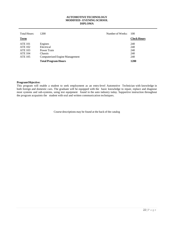#### **AUTOMOTIVETECHNOLOGY MODIFIED - EVENING SCHOOL DIPLOMA**

| Total Hours:   | 1200                           | Number of Weeks: | 100                |
|----------------|--------------------------------|------------------|--------------------|
| <b>Term</b>    |                                |                  | <b>Clock Hours</b> |
| <b>ATE 101</b> | Engines                        |                  | 240                |
| <b>ATE 102</b> | Electrical                     |                  | 240                |
| ATE 103        | Power Train                    |                  | 240                |
| <b>ATE 104</b> | Chassis                        |                  | 240                |
| <b>ATE 105</b> | Computerized Engine Management |                  | 240                |
|                | <b>Total Program Hours</b>     |                  | 1200               |

#### **ProgramObjective:**

This program will enable a student to seek employment as an entry-level Automotive Technician with knowledge in both foreign and domestic cars. The graduate will be equipped with the basic knowledge to repair, replace and diagnose most systems and sub-systems, using test equipment found in the auto industry today. Supportive instruction throughout the program acquaints the student with oral and written communication techniques.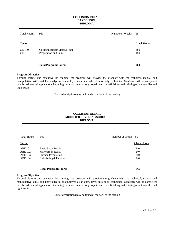#### **COLLISION REPAIR DAYSCHOOL DIPLOMA**

| Total Hours:                   | 960                                                   | Number of Weeks: | -28                |
|--------------------------------|-------------------------------------------------------|------------------|--------------------|
| Term                           |                                                       |                  | <b>Clock Hours</b> |
| <b>CR 100</b><br><b>CR 101</b> | Collision Repair Major/Minor<br>Preparation and Paint |                  | 480<br>480         |
|                                | <b>Total Program Hours:</b>                           |                  | 960                |

#### **ProgramObjective:**

Through lecture and extensive lab training, the program will provide the graduate with the technical, manual and manipulative skills and knowledge to be employed as an entry-level auto body technician. Graduates will be competent in a broad area of applications including basic and major body repair, and the refinishing and painting of automobiles and light trucks.

Course descriptions may be found at the back of the catalog

#### **COLLISION REPAIR MODIFIED – EVENINGSCHOOL DIPLOMA**

| <b>Total Hours</b> | 960                         | Number of Weeks | -80                |
|--------------------|-----------------------------|-----------------|--------------------|
| Term               |                             |                 | <b>Clock Hours</b> |
| <b>ABE 101</b>     | <b>Basic Body Repair</b>    |                 | 240                |
| <b>ABE 102</b>     | Major Body Repair           |                 | 240                |
| <b>ABE 103</b>     | <b>Surface Preparation</b>  |                 | 240                |
| <b>ABE 104</b>     | Refinishing & Painting      |                 | 240                |
|                    |                             |                 |                    |
|                    | <b>Total Program Hours:</b> |                 | 960                |

#### **ProgramObjective:**

Through lecture and extensive lab training, the program will provide the graduate with the technical, manual and manipulative skills and knowledge to be employed as an entry-level auto body technician. Graduates will be competent in a broad area of applications including basic and major body repair, and the refinishing and painting of automobiles and light trucks.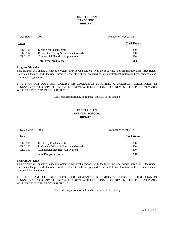#### **ELECTRICIAN DAY SCHOOL DIPLOMA**

| <b>Total Hours</b> | 900                                       | Number of Weeks: 26 |
|--------------------|-------------------------------------------|---------------------|
| Term               |                                           | <b>Clock Hours</b>  |
| <b>ELC</b> 101     | <b>Electricity Fundamentals</b>           | 300                 |
| ELC 102            | Residential Wiring & Electrical Grounds   | 300                 |
| <b>ELC</b> 103     | <b>Commercial Electrical Applications</b> | 300                 |
|                    | <b>Total Program Hours</b>                | 900                 |

#### **ProgramObjective:**

This program will enable a student to obtain entry-level positions with the following and similar job titles: Electrician, Electrician Helper, and Electrical Installer. Students will be prepared to install electrical systems in both residential and commercial applications.

THIS PROGRAM DOES NOT LICENSE OR GUARANTEE BECOMING A LICENSED ELECTRICIAN IN PENNSYLVANIA OR ANY OTHER STATE. A REVIEW OF LICENSING REQUIREMENTS FOR PENNSYLVANIA WILL BE INCLUDED IN COURSE ELC 101.

Course descriptions may be found at the back of the catalog

#### **ELECTRICIAN EVENING SCHOOL DIPLOMA**

| <b>Total Hours</b> | 900                                       | Number of Weeks 75 |
|--------------------|-------------------------------------------|--------------------|
| Term               |                                           | <b>Clock Hours</b> |
| <b>ELC</b> 101     | <b>Electricity Fundamentals</b>           | 300                |
| <b>ELC</b> 102     | Residential Wiring & Electrical Grounds   | 300                |
| <b>ELC</b> 103     | <b>Commercial Electrical Applications</b> | 300                |
|                    | <b>Total Program Hours</b>                | 900                |

#### **ProgramObjective:**

This program will enable a student to obtain entry-level positions with the following and similar job titles: Electrician, Electrician Helper, and Electrical Installer. Students will be prepared to install electrical systems in both residential and commercial applications.

THIS PROGRAM DOES NOT LICENSE OR GUARANTEE BECOMING A LICENSED ELECTRICIAN IN PENNSYLVANIA OR ANY OTHER STATE. A REVIEW OF LICENSING REQUIREMENTS FOR PENNSYLVANIA WILL BE INCLUDED IN COURSE ELC 101.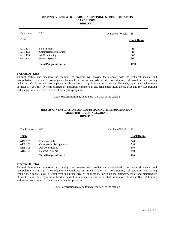#### **HEATING, VENTILATION, AIRCONDITIONING & REFRIGERATION DAYSCHOOL DIPLOMA**

| <b>Total Hours:</b> | 1200                            | Number of Weeks: 35 |  |
|---------------------|---------------------------------|---------------------|--|
| Term                |                                 | <b>Clock Hours</b>  |  |
| <b>ARD</b> 101      | <b>Fundamentals</b>             | 300                 |  |
| <b>ARD 102</b>      | <b>Commercial Refrigeration</b> | 300                 |  |
| <b>ARD 103</b>      | Air Conditioning                | 300                 |  |
| <b>ARD 104</b>      | <b>Heating Systems</b>          | 300                 |  |
|                     | <b>Total Program Hours:</b>     | 1200                |  |

#### **ProgramObjective:**

Through lecture and extensive lab training, the program will provide the graduate with the technical, manual and manipulative skills and knowledge to be employed as an entry-level air conditioning, refrigeration, and heating technician. Graduates will be competent in a broad area of applications including the diagnosis, repair and maintenance of most HVAC&R systems utilized in industrial, commercial, and residential installations. EPA and R-410A training and testing are offered to the student during this program.

Course descriptions may be found at the back of the catalog

#### **HEATING, VENTILATION, AIR CONDITIONING & REFRIGERATION MODIFIED – EVENINGSCHOOL DIPLOMA**

| Total Hours:                                                         | 960                                                                                           | Number of Week: | - 80                     |
|----------------------------------------------------------------------|-----------------------------------------------------------------------------------------------|-----------------|--------------------------|
| <b>Term</b>                                                          |                                                                                               |                 | <b>Clock Hours</b>       |
| <b>ARE 101</b><br><b>ARE 102</b><br><b>ARE 103</b><br><b>ARE 104</b> | <b>Fundamentals</b><br>Commercial Refrigeration<br>Air Conditioning<br><b>Heating Systems</b> |                 | 240<br>240<br>240<br>240 |
|                                                                      | <b>Total Program Hours:</b>                                                                   |                 | 960                      |

#### **ProgramObjective:**

Through lecture and extensive lab training, the program will provide the graduate with the technical, manual and manipulative skills and knowledge to be employed as an entry-level air conditioning, refrigeration, and heating technician. Graduates will be competent in a broad area of applications including the diagnosis, repair and maintenance of most HVAC&R systems utilized in industrial, commercial, and residential installations. EPA and R-410A training and testing are offered to the student during this program.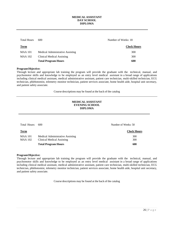#### **MEDICAL ASSISTANT DAY SCHOOL DIPLOMA**

| <b>Total Hours</b> | 600                              | Number of Weeks: 18 |  |
|--------------------|----------------------------------|---------------------|--|
| <b>Term</b>        |                                  | <b>Clock Hours</b>  |  |
| <b>MAA 101</b>     | Medical Administrative Assisting | 300                 |  |
| <b>MAA 102</b>     | Clinical Medical Assisting       | 300                 |  |
|                    | <b>Total Program Hours</b>       | 600                 |  |

#### **ProgramObjective:**

Through lecture and appropriate lab training the program will provide the graduate with the technical, manual, and psychomotor skills and knowledge to be employed as an entry level medical assistant in a broad range of applications including clinical medical assistant, medical administrative assistant, patient care technician, multi-skilled technician, ECG technician, phlebotomist, telemetry monitor technician, patient services associate, home health aide, hospital unit secretary, and patient safety associate.

Course descriptions may be found at the back of the catalog

#### **MEDICAL ASSISTANT EVENING SCHOOL DIPLOMA**

| Total Hours:                     | 600                                                            | Number of Weeks: 50 |
|----------------------------------|----------------------------------------------------------------|---------------------|
| <b>Term</b>                      |                                                                | <b>Clock Hours</b>  |
| <b>MAA 101</b><br><b>MAA 102</b> | Medical Administrative Assisting<br>Clinical Medical Assisting | 300<br>300          |
|                                  | <b>Total Program Hours</b>                                     | 600                 |

#### **ProgramObjective:**

Through lecture and appropriate lab training the program will provide the graduate with the technical, manual, and psychomotor skills and knowledge to be employed as an entry level medical assistant in a broad range of applications including clinical medical assistant, medical administrative assistant, patient care technician, multi-skilled technician, ECG technician, phlebotomist, telemetry monitor technician, patient services associate, home health aide, hospital unit secretary, and patient safety associate.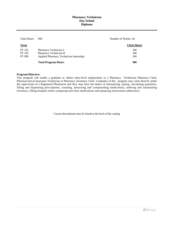#### **Pharmacy Technician Day School Diploma**

| <b>Total Hours</b> | 900                                    | Number of Weeks: 26 |  |  |
|--------------------|----------------------------------------|---------------------|--|--|
| <b>Term</b>        |                                        | <b>Clock Hours</b>  |  |  |
| <b>PT</b> 101      | Pharmacy Technician I                  | 360                 |  |  |
| PT 102             | Pharmacy Technician II                 | 360                 |  |  |
| PT 999             | Applied Pharmacy Technician Internship | 180                 |  |  |
|                    | <b>Total Program Hours</b>             | 900                 |  |  |

#### **ProgramObjective:**

This program will enable a graduate to obtain entry-level employment as a Pharmacy Technician, Pharmacy Clerk, Pharmaceutical Insurance Technician or Pharmacy Inventory Clerk. Graduates of this program may work directly under the supervision of a Registered Pharmacist and they may have the duties of interpreting, typing, calculating quantities, filling and dispensing prescriptions, counting, measuring and compounding medications, ordering and maintaining inventory, filling hospital orders, preparing unit dose medications and preparing intravenous admixtures.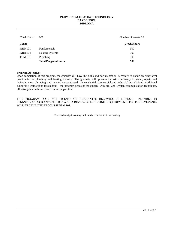#### **PLUMBING & HEATING TECHNOLOGY DAYSCHOOL DIPLOMA**

| Total Hours:   | 900                         | Number of Weeks:26 |
|----------------|-----------------------------|--------------------|
| <b>Term</b>    |                             | <b>Clock Hours</b> |
| <b>ARD</b> 101 | <b>Fundamentals</b>         | 300                |
| <b>ARD 104</b> | <b>Heating Systems</b>      | 300                |
| <b>PLM 101</b> | Plumbing                    | 300                |
|                | <b>Total Program Hours:</b> | 900                |

#### **ProgramObjective:**

Upon completion of this program, the graduate will have the skills and documentation necessary to obtain an entry-level position in the plumbing and heating industry. The graduate will possess the skills necessary to install, repair, and maintain most plumbing and heating systems used in residential, commercial and industrial installations. Additional supportive instructions throughout the program acquaint the student with oral and written communication techniques, effective job search skills and resume preparation.

THIS PROGRAM DOES NOT LICENSE OR GUARANTEE BECOMING A LICENSED PLUMBER IN PENNSYLVANIA OR ANY OTHER STATE. A REVIEW OF LICENSING REQUIREMENTS FOR PENNSYLVANIA WILL BE INCLUDED IN COURSE PLM 101.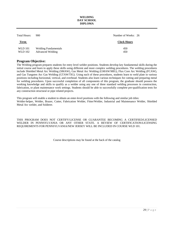#### **WELDING DAY SCHOOL DIPLOMA**

| Total Hours:                     | 900                                                    | Number of Weeks: 26 |
|----------------------------------|--------------------------------------------------------|---------------------|
| <u>Term</u>                      |                                                        | <b>Clock Hours</b>  |
| <b>WLD</b> 101<br><b>WLD</b> 102 | <b>Welding Fundamentals</b><br><b>Advanced Welding</b> | 450<br>450          |

#### **Program Objective:**

The Welding program prepares students for entry level welder positions. Students develop key fundamental skills during the initial course and learn to apply these skills using different and more complex welding procedures. The welding procedures include Shielded Metal Arc Welding (SMAW), Gas Metal Arc Welding (GMAW/MIG), Flux Core Arc Welding (FCAW), and Gas Tungsten Arc Gas Welding (GTAW/TIG). Using each of these procedures, students learn to weld plate in various positions including horizontal, vertical, and overhead. Students also learn various techniques for cutting and preparing metal for welding procedures. Upon successful completion of all components of this program, the graduate should possess the working knowledge and skills to qualify as a welder using any one of three standard welding processes in construction, fabrication, or plant maintenance work settings. Students should be able to successfully complete pre-qualification tests for any construction structural or pipe related projects.

This program will enable a student to obtain an enter-level positions with the following and similar job titles: Welder-helper, Welder, Brazer, Cutter, Fabrication Welder, Fitter/Welder, Industrial and Maintenance Welder, Shielded Metal Arc welder, and Solderer.

THIS PROGRAM DOES NOT CERTIFY/LICENSE OR GUARANTEE BECOMING A CERTIFIED/LICENSED WELDER IN PENNSYLVANIA OR ANY OTHER STATE. A REVIEW OF CERTIFICATION/LICENSING REQUIREMENTS FOR PENNSYLVANIA/NEW JERSEY WILL BE INCLUDED IN COURSE WLD 101.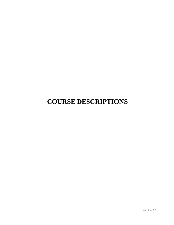## <span id="page-32-0"></span>**COURSE DESCRIPTIONS**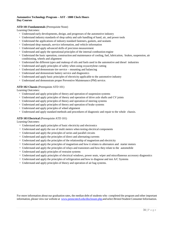#### **Automotive Technology Program – AST - 1800 Clock Hours Day Courses**

#### **ATD 101 Fundamentals** (Prerequisite None)

Learning Outcomes:

- <sup>∗</sup> Understand early developments, design, and progresses of the automotive industry
- <sup>∗</sup> Understand industry standards of shop safety and safe handling of hand, air, and power tools
- <sup>∗</sup> Understand the applications of industry standard fasteners, gaskets, and sealants
- <sup>∗</sup> Understand shop manuals, service information, and vehicle information
- <sup>∗</sup> Understand and apply advanced skills of precision measurement
- <sup>∗</sup> Understand and apply the operational principles of the internal combustion engine
- <sup>∗</sup> Understand the basic operation, construction and maintenance of cooling, fuel, lubrication, brakes, suspension, air conditioning, wheels and alignment
- <sup>∗</sup> Understand the different types and makeup of oils and fuels used in the automotive and diesel industries
- <sup>∗</sup> Understand and apply principles of safety when using oxyacetylene cutting
- <sup>∗</sup> Understand and demonstrate tire service mounting and balancing
- <sup>∗</sup> Understand and demonstrate battery service and diagnostics
- <sup>∗</sup> Understand and apply basic principles of electricity applicable to the automotive industry
- <sup>∗</sup> Understand and demonstrate proper Preventive Maintenance (PM) service.

#### **ATD 102 Chassis** (Prerequisite ATD 101)

Learning Outcomes:

- <sup>∗</sup> Understand and apply principles of theory and operation of suspension systems
- <sup>∗</sup> Understand and apply principles of theory and operation of drive axle shafts and CV joints
- <sup>∗</sup> Understand and apply principles of theory and operation of steering systems
- <sup>∗</sup> Understand and apply principles of theory and operation of brake systems
- <sup>∗</sup> Understand and apply principles of wheel alignment
- <sup>∗</sup> Understand and apply standard methods and procedures of diagnostic and repair to the whole chassis.

#### **ATD 103 Electrical** (Prerequisite ATD 101)

Learning Outcomes:

- <sup>∗</sup> Understand and apply principles of basic electricity and electronics
- <sup>∗</sup> Understand and apply the use of multi meters when testing electrical components
- <sup>∗</sup> Understand and apply the principles of series and parallel circuits
- <sup>∗</sup> Understand and apply the principles of direct and alternating currents
- <sup>∗</sup> Understand and apply the principles of the relationship of magnetism and electricity
- <sup>∗</sup> Understand and apply the principles of magnetism and how it relates to alternators and starter motors
- <sup>∗</sup> Understand and apply the principles of relays and transistors and how they relate to the automobile
- <sup>∗</sup> Understand and apply principles of restraint systems
- <sup>∗</sup> Understand and apply principles of electrical windows, power seats, wiper and miscellaneous accessory diagnostics
- <sup>∗</sup> Understand and apply the principles of refrigeration and how to diagnose and test A/C Systems
- <sup>∗</sup> Understand and apply principles of theory and operation of air bag systems.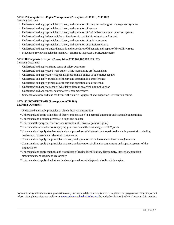#### **ATD 109 Computerized EngineManagement** (Prerequisite ATD 101, ATD 103)

Learning Outcome:

- <sup>∗</sup> Understand and apply principles of theory and operation of computerized engine management systems
- <sup>∗</sup> Understand and apply principles of theory and operation of sensors
- <sup>∗</sup> Understand and apply principles of theory and operation of fuel delivery and fuel injection systems
- <sup>∗</sup> Understand and apply the principles of ignition coils and ignition circuits, and testing
- <sup>∗</sup> Understand and apply principles of theory and operation of ignition systems
- <sup>∗</sup> Understand and apply principles of theory and operation of emission systems
- <sup>∗</sup> Understand and apply standard methods and procedures of diagnosis and repair of drivability issues
- <sup>∗</sup> Students to review and take the PennDOT Emissions Inspector Certification course.

#### **ATD 110 Diagnosis & Repair** (Prerequisites ATD 101,102,103,109,112)

Learning Outcomes:

- <sup>∗</sup> Understand and apply a strong sense of safety awareness
- <sup>∗</sup> Understand and apply good work ethics, while maintaining professionalism
- <sup>∗</sup> Understand and apply knowledge in diagnostics in all phases of automotive repairs
- <sup>∗</sup> Understand and apply principles of theory and operation in a transfer case
- <sup>∗</sup> Understand and apply principles of theory and operation of a differential
- <sup>∗</sup> Understand and apply a sense of what takes place in an actual automotive shop
- <sup>∗</sup> Understand and apply proper automotive repair procedures
- <sup>∗</sup> Students to review and take the PennDOT Vehicle Equipment and Inspection Certification course.

#### **ATD 112 POWERTRAIN (Prerequisite ATD 101) Learning Outcomes:**

\*Understand and apply principles of clutch theory and operation

- \*Understand and apply principles of theory and operation in a manual, automatic and transaxle transmission
- \*Understand and describe driveshaft design and balance
- \*Understand the purpose, function, and operation of Universal-joints (U-joint)
- \*Understand how constant velocity (CV) joints work and the various types of CV joints
- \*Understand and apply standard methods and procedures of diagnostic and repair to the whole powertrain including mechanical, hydraulic and electronic components
- \*Understand and apply the principles of theory and operation of the internal combustion engine/motor
- \*Understand and apply the principles of theory and operation of all major components and support systems of the engine/motor
- \*Understand and apply methods and procedures of engine identification, disassembly, inspection, precision measurement and repair and reassembly
- \*Understand and apply standard methods and procedures of diagnostics to the whole engine.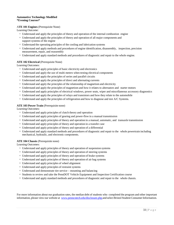#### **Automotive Technology Modified \*Evening Courses\***

#### A**TE 101 Engines** (Prerequisite None)

Learning Outcome:

- <sup>∗</sup> Understand and apply the principles of theory and operation of the internal combustion engine
- <sup>∗</sup> Understand and apply the principles of theory and operation of all major components and support systems of the engine
- <sup>∗</sup> Understand the operating principles of the cooling and lubrication systems
- <sup>∗</sup> Understand and apply methods and procedures of engine identification, disassembly, inspection, precision measurement, repair, and reassembly
- <sup>∗</sup> Understand and apply standard methods and procedures of diagnostic and repair to the whole engine.

#### **ATE 102 Electrical** (Prerequisite None)

Learning Outcomes:

- <sup>∗</sup> Understand and apply principles of basic electricity and electronics
- <sup>∗</sup> Understand and apply the use of multi meters when testing electrical components
- <sup>∗</sup> Understand and apply the principles of series and parallel circuits
- <sup>∗</sup> Understand and apply the principles of direct and alternating currents
- <sup>∗</sup> Understand and apply the principles of the relationship of magnetism and electricity
- <sup>∗</sup> Understand and apply the principles of magnetism and how it relates to alternators and starter motors
- <sup>∗</sup> Understand and apply principles of electrical windows, power seats, wiper and miscellaneous accessory diagnostics
- <sup>∗</sup> Understand and apply the principles of relays and transistors and how they relate to the automobile
- <sup>∗</sup> Understand and apply the principles of refrigeration and how to diagnose and test A/C Systems.

#### **ATE 103 Power Train** (Prerequisite none)

Learning Outcomes:

- <sup>∗</sup> Understand and apply principles of clutch theory and operation
- <sup>∗</sup> Understand and apply principles of gearing and power-flow in a manual transmission
- <sup>∗</sup> Understand and apply principles of theory and operation in a manual, automatic, and transaxle transmission
- <sup>∗</sup> Understand and apply principles of theory and operation in a transfer case
- <sup>∗</sup> Understand and apply principles of theory and operation of a differential
- <sup>∗</sup> Understand and apply standard methods and procedures of diagnostic and repair to the whole powertrain including mechanical, hydraulic, and electronic components.

#### **ATE 104 Chassis** (Prerequisite none)

Learning Outcomes:

- <sup>∗</sup> Understand and apply principles of theory and operation of suspension systems
- <sup>∗</sup> Understand and apply principles of theory and operation of steering systems
- <sup>∗</sup> Understand and apply principles of theory and operation of brake systems
- <sup>∗</sup> Understand and apply principles of theory and operation of air bag systems
- <sup>∗</sup> Understand and apply principles of wheel alignment
- <sup>∗</sup> Understand and apply principles of restraint systems
- <sup>∗</sup> Understand and demonstrate tire service mounting and balancing
- <sup>∗</sup> Students to review and take the PennDOT Vehicle Equipment and Inspection Certification course
- <sup>∗</sup> Understand and apply standard methods and procedures of diagnostic and repair to the whole chassis.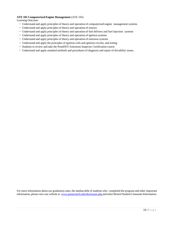#### **ATE 105 Computerized Engine Management** (ATE 102)

Learning Outcome:

- <sup>∗</sup> Understand and apply principles of theory and operation of computerized engine management systems
- <sup>∗</sup> Understand and apply principles of theory and operation of sensors
- <sup>∗</sup> Understand and apply principles of theory and operation of fuel delivery and fuel injection systems
- <sup>∗</sup> Understand and apply principles of theory and operation of ignition systems
- <sup>∗</sup> Understand and apply principles of theory and operation of emission systems
- <sup>∗</sup> Understand and apply the principles of ignition coils and ignition circuits, and testing
- <sup>∗</sup> Students to review and take the PennDOT Emissions Inspector Certification course
- <sup>∗</sup> Understand and apply standard methods and procedures of diagnosis and repair of drivability issues.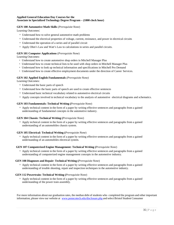#### **Applied General Education Day Courses for the Associate in Specialized Technology Degree Program – (1800 clock hour)**

#### **GEN 100 Automotive Math Skills** (*Prerequisite None*)

Learning Outcomes:

- <sup>∗</sup> Understand how to solve general automotive math problems
- <sup>∗</sup> Understand the electrical properties of voltage, current, resistance, and power in electrical circuits
- <sup>∗</sup> Understand the operation of a series and of parallel circuit
- <sup>∗</sup> Apply Ohm's Law and Watt's Law to calculations in series and parallel circuits.

#### **GEN 101 Computer Applications** (*Prerequisite None*)

Learning Outcomes:

- <sup>∗</sup> Understand how to create automotive shop orders in Mitchell Manager Plus
- <sup>∗</sup> Understand how to create technical lists to be used with shop orders in Mitchell Manager Plus
- <sup>∗</sup> Understand how to look up technical information and specifications in Mitchell Pro Demand
- <sup>∗</sup> Understand how to create effective employment documents under the direction of Career Services.

#### **GEN 102 Applied English Fundamentals** *(Prerequisite None)*

Learning Outcomes:

- <sup>∗</sup> Understand the basic parts of speech
- <sup>∗</sup> Understand how the basic parts of speech are used to create effective sentences
- <sup>∗</sup> Understand basic technical vocabulary related to automotive electrical circuits
- <sup>∗</sup> Apply concepts involved in technical vocabulary to the analysis of automotive electrical diagrams and schematics.

#### **GEN 103 Fundamentals: Technical Writing (***Prerequisite None*)

<sup>∗</sup> Apply technical content in the form of a paper by writing effective sentences and paragraphs from a gained understanding of fundamental concepts in the automotive industry.

#### **GEN 104 Chassis: Technical Writing (***Prerequisite None*)

<sup>∗</sup> Apply technical content in the form of a paper by writing effective sentences and paragraphs from a gained understanding of an automobiles chassis system.

#### **GEN 105 Electrical: Technical Writing (***Prerequisite None*)

<sup>∗</sup> Apply technical content in the form of a paper by writing effective sentences and paragraphs from a gained understanding of an automobiles electrical system.

#### **GEN 107 Computerized Engine Management: Technical Writing (***Prerequisite None*)

<sup>∗</sup> Apply technical content in the form of a paper by writing effective sentences and paragraphs from a gained understanding of computerized engine management concepts in the automotive industry.

#### **GEN 108 Diagnoses and Repair: Technical Writing (***Prerequisite None*)

<sup>∗</sup> Apply technical content in the form of a paper by writing effective sentences and paragraphs from a gained understanding of trouble shooting, repair and inspection techniques in the automotive industry.

#### **GEN 112 Powertrain: Technical Writing (***Prerequisite None*)

<sup>∗</sup> Apply technical content in the form of a paper by writing effective sentences and paragraphs from a gained understanding of the power train assembly.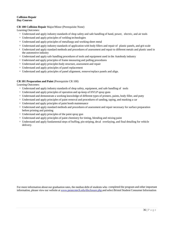#### **Collision Repair Day Courses**

#### **CR 100 Collision Repair** Major/Minor (Prerequisite None)

Learning Outcomes:

- <sup>∗</sup> Understand and apply industry standards of shop safety and safe handling of hand, power, electric, and air tools
- <sup>∗</sup> Understand and apply principles of welding technologies
- <sup>∗</sup> Understand and apply principles of metallurgy and working sheet metal
- <sup>∗</sup> Understand and apply industry standards of application with body fillers and repair of plastic panels, and grit scale
- <sup>∗</sup> Understand and apply standard methods and procedures of assessment and repair to different metals and plastic used in the automotive industry
- <sup>∗</sup> Understand and apply safe handling procedures of tools and equipment used in the Autobody industry
- <sup>∗</sup> Understand and apply principles of frame measuring and pulling procedures
- <sup>∗</sup> Understand and apply principles body structure, assessment and repair
- <sup>∗</sup> Understand and apply principles of panel replacement
- <sup>∗</sup> Understand and apply principles of panel alignment, remove/replace panels and align.

#### **CR 101 Preparation and Paint** (Prerequisite CR 100)

Learning Outcomes:

- <sup>∗</sup> Understand and apply industry standards of shop safety, equipment, and safe handling of tools
- <sup>∗</sup> Understand and apply principles of operation and up-keep of HVLP spray guns
- <sup>∗</sup> Understand and demonstrate a working knowledge of different types of primers, paints, body filler, and putty
- <sup>∗</sup> Understand and apply principles of paint removal and procedures of sanding, taping, and masking a car
- <sup>∗</sup> Understand and apply principles of paint booth maintenance
- <sup>∗</sup> Understand and apply standard methods and procedures of assessment and repair necessary for surface preparation before priming and painting
- <sup>∗</sup> Understand and apply principles of the paint spray gun
- <sup>∗</sup> Understand and apply principles of paint chemistry for tinting, blending and mixing paint
- <sup>∗</sup> Understand and apply fundamentalsteps of buffing, pin-striping, decal overlaying, and final detailing for vehicle delivery.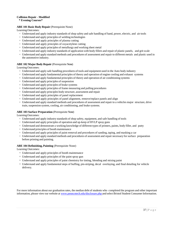#### **Collision Repair** - **Modified**

 **\* Evening Courses\*** 

#### **ABE 101 Basic Body Repair** (Prerequisite None)

LearningOutcomes:

- <sup>∗</sup> Understand and apply industry standards of shop safety and safe handling of hand, power, electric, and air tools
- <sup>∗</sup> Understand and apply principles of welding technologies
- <sup>∗</sup> Understand and apply principles of plasma cutting
- <sup>∗</sup> Understand and apply principles of oxyacetylene cutting
- <sup>∗</sup> Understand and apply principles of metallurgy and working sheet metal
- <sup>∗</sup> Understand and apply industry standards of application with body fillers and repair of plastic panels, and grit scale
- <sup>∗</sup> Understand and apply standard methods and procedures of assessment and repair to different metals and plastic used in the automotive industry.

#### **ABE 102 Major Body Repair** (Prerequisite None)

LearningOutcomes:

- <sup>∗</sup> Understand and apply safe handling procedures of tools and equipment used in the Auto body industry
- <sup>∗</sup> Understand and apply fundamental principles of theory and operation of engine cooling and exhaust systems
- <sup>∗</sup> Understand and apply fundamental principles of theory and operation of air conditioning systems
- ∗ Understand and apply principles of suspension
- <sup>∗</sup> Understand and apply principles of brake systems
- <sup>∗</sup> Understand and apply principles of frame measuring and pulling procedures
- <sup>∗</sup> Understand and apply principles body structure, assessment and repair
- <sup>∗</sup> Understand and apply principles of panel replacement
- <sup>∗</sup> Understand and apply principles of panel alignment, remove/replace panels and align
- <sup>∗</sup> Understand and apply standard methods and procedures of assessment and repair to a vehicles major structure, drive train, suspension system, cooling, air conditioning, and brake systems.

#### **ABE 103 Surface Preparation** (Prerequisite None)

LearningOutcomes:

- <sup>∗</sup> Understand and apply industry standards of shop safety, equipment, and safe handling of tools
- <sup>∗</sup> Understand and apply principles of operation and up-keep of HVLP spray guns
- <sup>∗</sup> Understand and demonstrate a working knowledge of different types of primers, paints, body filler, and putty
- <sup>∗</sup> Understand principles of booth maintenance
- <sup>∗</sup> Understand and apply principles of paint removal and procedures of sanding, taping, and masking a car
- <sup>∗</sup> Understand and apply standard methods and procedures of assessment and repair necessary for surface preparation before priming and painting.

#### **ABE 104 Refinishing, Painting** (Prerequisite None)

Learning Outcomes:

- <sup>∗</sup> Understand and apply principles of booth maintenance
- <sup>∗</sup> Understand and apply principles of the paint spray gun
- <sup>∗</sup> Understand and apply principles of paint chemistry for tinting, blending and mixing paint
- <sup>∗</sup> Understand and apply fundamentalsteps of buffing, pin-striping, decal overlaying, and final detailing for vehicle delivery.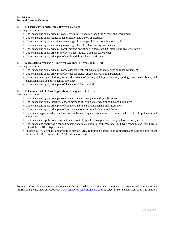#### **Electrician Day and Evening Courses**

#### **ELC 101 Electricity Fundamentals** (Prerequisite None)

Learning Outcomes:

- <sup>∗</sup> Understand and apply principles of electrical safety and safe handling of tools and equipment
- <sup>∗</sup> Understand and apply foundational principles and theory of electricity
- <sup>∗</sup> Understand and apply a working knowledge of series, parallel and combination circuits
- <sup>∗</sup> Understand and apply a working knowledge of electrical measuring instruments
- <sup>∗</sup> Understand and apply principles of theory and operation of alternators, DC motors and DC generators
- <sup>∗</sup> Understand and apply principles of resistance, inductive and capacitive loads
- <sup>∗</sup> Understand and apply principles of single and three phase transformers.

#### **ELC 102 Residential Wiring & Electrical Grounds** (Prerequisite ELC 101)

Learning Outcomes:

- <sup>∗</sup> Understand and apply principles of residential electrical installations and service entrance equipment
- <sup>∗</sup> Understand and apply principles of residential branch circuit analysis and installation
- <sup>∗</sup> Understand and apply industry standard methods of wiring, splicing, grounding, lighting, structured cabling, and electrical installation of residential appliances
- <sup>∗</sup> Understand and apply principles of the National Electric Code.

#### **ELC 103 Commercial Electrical Application** (Prerequisite ELC 101)

Learning Outcomes:

- <sup>∗</sup> Understand and apply principles of commercial electrical plans and specifications
- <sup>∗</sup> Understand and apply industry standard methods of wiring, splicing, grounding, and luminaires
- <sup>∗</sup> Understand and apply principles of commercial branch circuit analysis and installation
- <sup>∗</sup> Understand and apply principles of load calculations for branch circuits and feeders
- <sup>∗</sup> Understand apply standard methods of troubleshooting and installation of commercial electrical appliances and equipment.
- <sup>∗</sup> Understand and apply both relay and motor control logic for three phase and single-phase motor systems.
- <sup>∗</sup> Understand and apply basic conduit bending and installation for both PVC and EMT type conduit, also learn how to cut and thread RMC type conduit.
- <sup>∗</sup> Students will be given the opportunity to attend OSHA 10 training classes, upon completion and passing a final exam the student will receive an OSHA 10 certification card.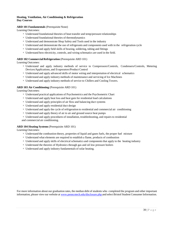#### **Heating, Ventilation, Air Conditioning & Refrigeration Day Courses**

#### **ARD 101 Fundamentals** (Prerequisite None)

Learning Outcomes:

- <sup>∗</sup> Understand foundational theories of heat transfer and temp/pressure relationships
- <sup>∗</sup> Understand foundational theories of thermodynamics
- <sup>∗</sup> Understand and demonstrate Shop Safety and Tools used in the industry
- <sup>∗</sup> Understand and demonstrate the use of refrigerants and components used with in the refrigeration cycle
- <sup>∗</sup> Understand and apply field skills of brazing, soldering, tubing and fittings
- <sup>∗</sup> Understand how electricity, controls, and wiring schematics are used in the field.

#### **ARD 102 Commercial Refrigeration** (Prerequisite ARD 101)

Learning Outcomes:

- <sup>∗</sup> Understand and apply industry methods of service to Compressors/Controls, Condensers/Controls, Metering Devices/Applications, and Evaporators/Product Control
- <sup>∗</sup> Understand and apply advanced skills of motor wiring and interpretation of electrical schematics
- <sup>∗</sup> Understand and apply industry methods of maintenance and servicing of Ice Machines
- <sup>∗</sup> Understand and apply industry methods of service to Chillers and Cooling Towers.

#### **ARD 103 Air Conditioning** (Prerequisite ARD 101)

Learning Outcomes:

- <sup>∗</sup> Understand practical applications of Psychometrics and the Psychometric Chart
- <sup>∗</sup> Understand and apply heat loss and heat gain for residential load calculations
- <sup>∗</sup> Understand and apply principles of air flow and balancing duct systems
- <sup>∗</sup> Understand and apply residential duct design
- <sup>∗</sup> Understand and apply the cycle of refrigeration to residential and commercial air conditioning
- <sup>∗</sup> Understand and apply theory of air to air and ground source heat pumps
- <sup>∗</sup> Understand and apply procedures of installation, troubleshooting, and repairs to residential and commercial air conditioning.

#### **ARD 104 Heating Systems** (Prerequisite ARD 101)

Learning Outcomes:

- <sup>∗</sup> Understand the combustion theory, properties of liquid and gases fuels, the proper fuel mixture
- <sup>∗</sup> Understand what elements are required to establish a flame, products of combustion
- <sup>∗</sup> Understand and apply skills of electrical schematics and componentsthat apply to the heating industry
- <sup>∗</sup> Understand the theories of Hydronics through gas and oil low pressure boilers
- <sup>∗</sup> Understand and apply industry fundamentals of solar heating.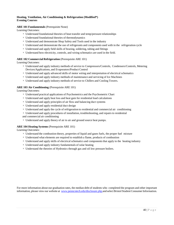#### **Heating, Ventilation, Air Conditioning & Refrigeration (Modified\*) Evening Courses**

#### **ARE 101 Fundamentals** (Prerequisite None)

Learning Outcomes:

- <sup>∗</sup> Understand foundational theories of heat transfer and temp/pressure relationships
- <sup>∗</sup> Understand foundational theories of thermodynamics
- <sup>∗</sup> Understand and demonstrate Shop Safety and Tools used in the industry
- <sup>∗</sup> Understand and demonstrate the use of refrigerants and components used with in the refrigeration cycle
- <sup>∗</sup> Understand and apply field skills of brazing, soldering, tubing and fittings
- <sup>∗</sup> Understand how electricity, controls, and wiring schematics are used in the field.

#### **ARE 102 Commercial Refrigeration** (Prerequisite ARE 101)

Learning Outcomes:

- <sup>∗</sup> Understand and apply industry methods of service to Compressors/Controls, Condensers/Controls, Metering Devices/Applications, and Evaporators/Product Control
- <sup>∗</sup> Understand and apply advanced skills of motor wiring and interpretation of electrical schematics
- <sup>∗</sup> Understand and apply industry methods of maintenance and servicing of Ice Machines
- <sup>∗</sup> Understand and apply industry methods of service to Chillers and Cooling Towers.

#### **ARE 103 Air Conditioning** (Prerequisite ARE 101)

Learning Outcomes:

- <sup>∗</sup> Understand practical applications of Psychometrics and the Psychometric Chart
- <sup>∗</sup> Understand and apply heat loss and heat gain for residential load calculations
- <sup>∗</sup> Understand and apply principles of air flow and balancing duct systems
- <sup>∗</sup> Understand and apply residential duct design
- <sup>∗</sup> Understand and apply the cycle of refrigeration to residential and commercial air conditioning
- <sup>∗</sup> Understand and apply procedures of installation, troubleshooting, and repairs to residential
- and commercial air conditioning
- <sup>∗</sup> Understand and apply theory of air to air and ground source heat pumps.

#### **ARE 104 Heating Systems** (Prerequisite ARE 101)

Learning Outcomes:

- <sup>∗</sup> Understand the combustion theory, properties of liquid and gases fuels, the proper fuel mixture
- <sup>∗</sup> Understand what elements are required to establish a flame, products of combustion
- <sup>∗</sup> Understand and apply skills of electrical schematics and componentsthat apply to the heating industry
- <sup>∗</sup> Understand and apply industry fundamentals of solar heating
- <sup>∗</sup> Understand the theories of Hydronics through gas and oil low pressure boilers.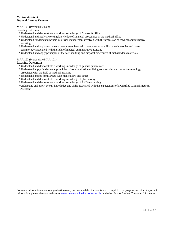#### **Medical Assistant Day and Evening Courses**

#### **MAA 101** (Prerequisite None)

Learning Outcomes:

- \* Understand and demonstrate a working knowledge of Microsoft office
- \* Understand and apply a working knowledge of financial procedures in the medical office
- \* Understand fundamental principles of risk management involved with the profession of medical administrative assisting
- \* Understand and apply fundamental terms associated with communication utilizing technologies and correct terminology associated with the field of medical administrative assisting
- \* Understand and apply principles of the safe handling and disposal procedures of biohazardous materials.

#### **MAA 102** (Prerequisite MAA 101)

#### Learning Outcomes:

- \* Understand and demonstrate a working knowledge of general patient care
- \* Understand apply fundamental principles of communication utilizing technologies and correct terminology associated with the field of medical assisting
- \* Understand and be familiarized with medical law and ethics
- \* Understand and demonstrate a working knowledge of phlebotomy
- \* Understand and demonstrate a working knowledge of EKG monitoring
- \*Understand and apply overall knowledge and skills associated with the expectations of a Certified Clinical Medical Assistant.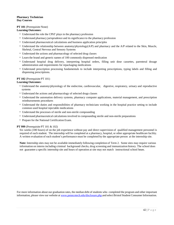#### **Pharmacy Technician Day Courses**

#### **PT 101** (Prerequisite None)

#### **Learning Outcomes:**

- <sup>∗</sup> Understand the role the CPhT plays in the pharmacy profession
- <sup>∗</sup> Understand pharmacy jurisprudence and its significance to the pharmacy profession
- <sup>∗</sup> Understand pharmaceutical calculations and business application principles
- <sup>∗</sup> Understand the relationship between anatomy/physiology(A/P) and pharmacy and the A/P related to the Skin, Muscle, Skeletal, Central Nervous and Sensory Systems
- <sup>∗</sup> Understand the actions and pharmacology of selected drug classes
- <sup>∗</sup> Learn the brand and generic names of 100 commonly dispensed medication
- <sup>∗</sup> Understand hospital drug delivery, interpreting hospital orders, filling unit dose cassettes, parenteral dosage administration and requirements for repackaging medications
- <sup>∗</sup> Understand prescription processing fundamentals to include interpreting prescriptions, typing labels and filling and dispensing prescriptions.

#### **PT 102** (Prerequisite PT 101)

#### **Learning Outcomes:**

- <sup>∗</sup> Understand the anatomy/physiology of the endocrine, cardiovascular, digestive, respiratory, urinary and reproductive systems
- <sup>∗</sup> Understand the actions and pharmacology of selected drugs classes
- <sup>∗</sup> Understand the automation delivery systems, pharmacy computer applications, material management, and prescription reimbursements procedures
- <sup>∗</sup> Understand the duties and responsibilities of pharmacy technicians working in the hospital practice setting to include common used hospital injectable medications
- <sup>∗</sup> Understand the processes of sterile and non-sterile compounding
- <sup>∗</sup> Understand pharmaceutical calculationsinvolved in compounding sterile and non-sterile preparations
- <sup>∗</sup> Prepare for the National Certification Exam.

#### **PT 999** (Prerequisite PT 101 & 102)

Six weeks (180 hours) of on the job experience without pay and direct supervision of qualified management personnel is required of each student. The internship will be completed at a pharmacy, hospital, or other appropriate healthcare facility. A written evaluation of each student's performance must be completed by the appropriate person at the internship site.

**Note:** Internship sites may not be available immediately following completion of Term 2. Some sites may require various information on interns including criminal background checks, drug screening and immunization history. The school does not guarantee a specific internship site and hours of operation at site may not match instructional school hours.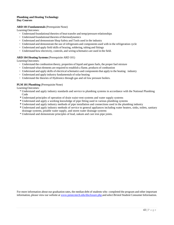#### **Plumbing and Heating Technology Day Courses**

#### **ARD 101 Fundamentals**(Prerequisite None)

LearningOutcomes:

- <sup>∗</sup> Understand foundational theories of heat transfer and temp/pressure relationships
- ∗ Understand foundational theories of thermodynamics
- <sup>∗</sup> Understand and demonstrate Shop Safety and Tools used in the industry
- <sup>∗</sup> Understand and demonstrate the use of refrigerants and components used with in the refrigeration cycle
- <sup>∗</sup> Understand and apply field skills of brazing, soldering, tubing and fittings
- <sup>∗</sup> Understand how electricity, controls, and wiring schematics are used in the field.

#### **ARD 104 Heating Systems**(Prerequisite ARD 101)

LearningOutcomes:

- <sup>∗</sup> Understand the combustion theory, properties of liquid and gases fuels, the proper fuel mixture
- <sup>∗</sup> Understand what elements are required to establish a flame, products of combustion
- Understand and apply skills of electrical schematics and components that apply to the heating industry
- <sup>∗</sup> Understand and apply industry fundamentals of solar heating
- <sup>∗</sup> Understand the theories of Hydronics through gas and oil low pressure boilers.

#### **PLM 101 Plumbing** (Prerequisite None)

LearningOutcomes:

- \* Understand and apply industry standards and service to plumbing systems in accordance with the National Plumbing Code
- **\*** Understand principles of operation of drain waist-vent systems and water supply systems
- **\*** Understand and apply a working knowledge of pipe fitting used in various plumbing systems
- **\*** Understand and apply industry methods of pipe installation and connections used in the plumbing industry
- **\*** Understand and apply industry methods of service to general appliances including water heaters, sinks, toilets, sanitary drainage systems, potable water supply, and storm water drainage systems
- \* Understand and demonstrate principles of lead, oakum and cast iron pipe joints.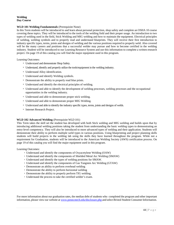#### **Welding Day Course**

#### **WLD 101 Welding Fundamentals** (Prerequisite None)

In this Term students will be introduced to and learn about personal protection, shop safety and complete an OSHA 10 course covering these topics. They will be introduced to the tools of the welding field and their proper usage. An introduction to two types of welding used in the field, Stick Welding and MIG welding and how to maintain the equipment. Electrical principles of welding, welding symbols and to properly read and understand blueprints. They will receive their first introduction to industry specific types, terms, joints and designs of welding and the various positions required to properly weld. Also covered will be the many careers and positions that a successful welder may pursue and how to become certified in the welding industry. Student will be introduced to our Learning Resource System and use this information to complete a written research project. On page 19 of this catalog you will find the major equipment used in this program.

Learning Outcomes:

- <sup>∗</sup> Understand and demonstrate Shop Safety.
- <sup>∗</sup> Understand, identify and properly utilize the tools/equipment in the welding industry.
- <sup>∗</sup> Understand Alloy identification.
- <sup>∗</sup> Understand and identify Welding symbols.
- <sup>∗</sup> Demonstrate the ability to properly read blue prints.
- <sup>∗</sup> Understand and identify the electrical principles of welding.
- <sup>∗</sup> Understand and able to identify the development of welding processes, welding processes and the occupational opportunities in the welding industry.
- <sup>∗</sup> Understand and able to demonstrate proper stick welding.
- <sup>∗</sup> Understand and able to demonstrate proper MIG Welding.
- <sup>∗</sup> Understand and able to identify the industry specific types, terms, joints and designs of welds.
- <sup>∗</sup> Internet Research Project.

#### **WLD 102 Advanced Welding** (Prerequisite WLD 101)

This Term takes the skill set the student has developed with both Stick welding and MIG welding and builds upon that by introducing additional welding positions taking the student from understanding the basic welding types to demonstrating an entry-level competency. They will also be introduced to more advanced types of welding and their application. Students will demonstrate their ability to perform multiple weld types in various positions. Using blueprinting and project planning skills students will build projects in the welding lab using the skills they have learned throughout the program. While not a requirement for Graduation, students will be introduced to the American Welding Society (AWS) certification process. On page 19 of this catalog you will find the major equipment used in this program.

#### Learning Outcomes:

- <sup>∗</sup> Understand and identify the components of Oxyacetylene Welding (OAW)
- <sup>∗</sup> Understand and identify the components of Shielded Metal Arc Welding (SMAW)
- <sup>∗</sup> Understand and identify the types of welding positions for SMAW.
- <sup>∗</sup> Understand and identify the components of Gas Tungsten Arc Welding (GTAW)
- <sup>∗</sup> Demonstrate an ability to perform overhead welding
- <sup>∗</sup> Demonstrate the ability to perform horizontal welding
- <sup>∗</sup> Demonstrate the ability to properly perform TIG welding.
- <sup>∗</sup> Understand the process to take the certified welder's exam.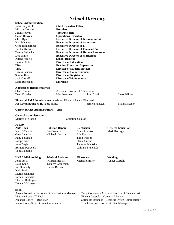### *School Directory*

<span id="page-47-0"></span>

|                                                                                |                                                                   | Denool Du celor y                            |                                                                                               |  |  |  |
|--------------------------------------------------------------------------------|-------------------------------------------------------------------|----------------------------------------------|-----------------------------------------------------------------------------------------------|--|--|--|
| <b>School Administration:</b>                                                  |                                                                   |                                              |                                                                                               |  |  |  |
| John Hobyak, Jr.                                                               | <b>Chief Executive Officer</b>                                    |                                              |                                                                                               |  |  |  |
| Michael Hobyak                                                                 | <b>President</b>                                                  |                                              |                                                                                               |  |  |  |
| Jason Hobyak                                                                   | <b>Vice President</b>                                             |                                              |                                                                                               |  |  |  |
| Colon Hobyak                                                                   | <b>Operations Executive</b>                                       |                                              |                                                                                               |  |  |  |
| Chris Ryan                                                                     |                                                                   | <b>Executive Director of Business Admin</b>  |                                                                                               |  |  |  |
| Karl Mancuso                                                                   |                                                                   | <b>Executive Director of Admissions</b>      |                                                                                               |  |  |  |
| Gene Bomgardner                                                                | <b>Executive Director of IT</b>                                   |                                              |                                                                                               |  |  |  |
| Debbie Keifrider                                                               |                                                                   | <b>Executive Director of Financial Aid</b>   |                                                                                               |  |  |  |
| Teresa Gallagher                                                               |                                                                   | <b>Executive Director of Human Resources</b> |                                                                                               |  |  |  |
| Deb White                                                                      |                                                                   | <b>Executive Director of Marketing</b>       |                                                                                               |  |  |  |
| <b>Alfred Parcells</b>                                                         | <b>School Director</b>                                            |                                              |                                                                                               |  |  |  |
| <b>Hakiem Coles</b>                                                            | <b>Director of Education</b>                                      |                                              |                                                                                               |  |  |  |
| TBA                                                                            |                                                                   | <b>Evening Education Supervisor</b>          |                                                                                               |  |  |  |
| TBA                                                                            |                                                                   | <b>Director of Student Services</b>          |                                                                                               |  |  |  |
| Teresa Scheerer                                                                | <b>Director of Career Services</b>                                |                                              |                                                                                               |  |  |  |
| Sondra Koob                                                                    | <b>Director of Registrars</b>                                     |                                              |                                                                                               |  |  |  |
| <b>Jack Carduff</b>                                                            | <b>Director of Maintenance</b>                                    |                                              |                                                                                               |  |  |  |
| Mark Raccagno                                                                  | Librarian                                                         |                                              |                                                                                               |  |  |  |
| <b>Admissions Representatives:</b>                                             |                                                                   |                                              |                                                                                               |  |  |  |
| <b>Chad Thomas</b>                                                             |                                                                   | <b>Assistant Director of Admissions</b>      |                                                                                               |  |  |  |
| Traci Coakley                                                                  | <b>Matt Newman</b>                                                | John Slavin                                  | Chase Kilmer                                                                                  |  |  |  |
| FA Coordinating Mgr. Pattie Himes<br><b>Career Service Administrators: TBA</b> | Financial Aid Administrators: Assistant Director-Angela Eberhardt | Jessica Funsten                              | Brianna Stoner                                                                                |  |  |  |
| <b>General Administration:</b><br>Marissa Mcllhenn                             |                                                                   | <b>Christine Galasso</b>                     |                                                                                               |  |  |  |
| <b>Faculty:</b>                                                                |                                                                   |                                              |                                                                                               |  |  |  |
| Auto Tech                                                                      | <b>Collision Repair</b>                                           | <b>Electrician</b>                           | <b>General Education</b>                                                                      |  |  |  |
| Nick DiTaranto                                                                 | Lew Wolcott                                                       | Brain Amoroso                                | Mark Raccagno                                                                                 |  |  |  |
| Greg Badessa                                                                   | Michael Navarra                                                   | Eric Ruszin                                  |                                                                                               |  |  |  |
| Rand Feldman                                                                   |                                                                   | Tim Swanson                                  |                                                                                               |  |  |  |
| Joseph Bain                                                                    |                                                                   | David Curran                                 |                                                                                               |  |  |  |
| John Doyle                                                                     |                                                                   | <b>Thomas Sawitsky</b>                       |                                                                                               |  |  |  |
| Bernard Petrocelli                                                             |                                                                   | William Branchide                            |                                                                                               |  |  |  |
| <b>Tom Diamond</b>                                                             |                                                                   |                                              |                                                                                               |  |  |  |
| HVAC&R/Plumbing                                                                | <b>Medical Assistant</b>                                          | <b>Pharmacy</b>                              | Welding                                                                                       |  |  |  |
| John Testa                                                                     | Kristen McKay                                                     | Michelle Miller                              | <b>Tanner Costello</b>                                                                        |  |  |  |
| Dave Engel                                                                     | Katelyn Gregerson                                                 |                                              |                                                                                               |  |  |  |
| Joe Donnelly                                                                   | Leslie Brown                                                      |                                              |                                                                                               |  |  |  |
| Nick Povio                                                                     |                                                                   |                                              |                                                                                               |  |  |  |
| <b>Martin Slemmer</b>                                                          |                                                                   |                                              |                                                                                               |  |  |  |
| Jordan Barksdale                                                               |                                                                   |                                              |                                                                                               |  |  |  |
| Thomas Rodriguez                                                               |                                                                   |                                              |                                                                                               |  |  |  |
| Dontae Wilkerson                                                               |                                                                   |                                              |                                                                                               |  |  |  |
|                                                                                |                                                                   |                                              |                                                                                               |  |  |  |
| Staff:                                                                         |                                                                   |                                              |                                                                                               |  |  |  |
|                                                                                | Angela Nemeth - Corporate Office Business Manager                 |                                              | Cathy Gonzalez - Assistant Director of Financial Aid                                          |  |  |  |
| Matthew Love - IT Tech                                                         |                                                                   |                                              | Vincent Coppola - Cafeteria Manager                                                           |  |  |  |
| Amanda Cottrell - Registrar<br>Victor Hom - Student Loan Coordinator           |                                                                   |                                              | Carmelita Donnelly - Business Office Administrator<br>Sean Costello - Business Office Manager |  |  |  |
|                                                                                |                                                                   |                                              |                                                                                               |  |  |  |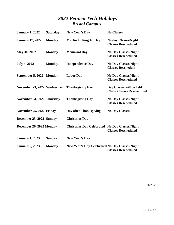### *2022 Pennco Tech Holidays Bristol Campus*

<span id="page-48-0"></span>

| <b>January 1, 2022</b>      | <b>Saturday</b> | New Year's Day                                       | <b>No Classes</b>                                         |
|-----------------------------|-----------------|------------------------------------------------------|-----------------------------------------------------------|
| <b>January 17, 2022</b>     | <b>Monday</b>   | Martin L. King Jr. Day                               | <b>No day Classes/Night</b><br><b>Classes Rescheduled</b> |
| May 30, 2022                | <b>Monday</b>   | <b>Memorial Day</b>                                  | <b>No Day Classes/Night</b><br><b>Classes Rescheduled</b> |
| <b>July 4, 2022</b>         | <b>Monday</b>   | <b>Independence Day</b>                              | <b>No Day Classes/Night</b><br><b>Classes Reschedule</b>  |
| September 5, 2022 Monday    |                 | <b>Labor Day</b>                                     | <b>No Day Classes/Night</b><br><b>Classes Rescheduled</b> |
| November 23, 2022 Wednesday |                 | <b>Thanksgiving Eve</b>                              | Day Classes will be held<br>/Night Classes Rescheduled    |
| November 24, 2022 Thursday  |                 | <b>Thanksgiving Day</b>                              | No Day Classes/Night<br><b>Classes Rescheduled</b>        |
| November 25, 2022 Friday    |                 | Day after Thanksgiving                               | <b>No Day Classes</b>                                     |
| December 25, 2022 Sunday    |                 | <b>Christmas Day</b>                                 |                                                           |
| December 26, 2022 Monday    |                 | <b>Christmas Day Celebrated No Day Classes/Night</b> | <b>Classes Rescheduled</b>                                |
| <b>January 1, 2023</b>      | <b>Sunday</b>   | <b>New Year's Day</b>                                |                                                           |
| <b>January 2, 2023</b>      | <b>Monday</b>   | New Year's Day Celebrated No Day Classes/Night       | <b>Classes Rescheduled</b>                                |

7/1/2021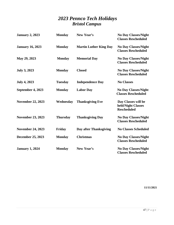### *2023 Pennco Tech Holidays Bristol Campus*

<span id="page-49-0"></span>

| <b>January 2, 2023</b>   | <b>Monday</b>   | New Year's                    | <b>No Day Classes/Night</b><br><b>Classes Rescheduled</b>       |
|--------------------------|-----------------|-------------------------------|-----------------------------------------------------------------|
| <b>January 16, 2023</b>  | <b>Monday</b>   | <b>Martin Luther King Day</b> | <b>No Day Classes/Night</b><br><b>Classes Rescheduled</b>       |
| May 29, 2023             | <b>Monday</b>   | <b>Memorial Day</b>           | <b>No Day Classes/Night</b><br><b>Classes Rescheduled</b>       |
| <b>July 3, 2023</b>      | <b>Monday</b>   | <b>Closed</b>                 | <b>No Day Classes/Night</b><br><b>Classes Rescheduled</b>       |
| <b>July 4, 2023</b>      | <b>Tuesday</b>  | <b>Independence Day</b>       | <b>No Classes</b>                                               |
| September 4, 2023        | <b>Monday</b>   | <b>Labor Day</b>              | <b>No Day Classes/Night</b><br><b>Classes Rescheduled</b>       |
| <b>November 22, 2023</b> | Wednesday       | <b>Thanksgiving Eve</b>       | Day Classes will be<br>held/Night Classes<br><b>Rescheduled</b> |
| <b>November 23, 2023</b> | <b>Thursday</b> | <b>Thanksgiving Day</b>       | <b>No Day Classes/Night</b><br><b>Classes Rescheduled</b>       |
| <b>November 24, 2023</b> | Friday          | Day after Thanksgiving        | <b>No Classes Scheduled</b>                                     |
| <b>December 25, 2023</b> | <b>Monday</b>   | <b>Christmas</b>              | <b>No Day Classes/Night</b><br><b>Classes Rescheduled</b>       |
| <b>January 1, 2024</b>   | <b>Monday</b>   | New Year's                    | <b>No Day Classes/Night</b><br><b>Classes Rescheduled</b>       |

**11/11/2021**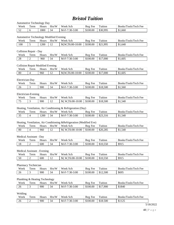### *Bristol Tuition*

<span id="page-50-0"></span>

| <b>Automotive Technology Day</b> |      |              |       |                 |          |          |                      |
|----------------------------------|------|--------------|-------|-----------------|----------|----------|----------------------|
| Week                             | Term | <b>Hours</b> | Hrs/W | Week Sch        | Reg Fee  | Tuition  | Books/Tools/Tech Fee |
| 52                               |      | .800         | 34    | $M-F-7:30-3:00$ | \$100.00 | \$30,995 | \$1,660              |

#### Automotive Technology Modified Evening

| Week | erm | س<br>Hours | Hrs/W | Week Sch        | Fee<br>Reg | Tuition  | Books/Tools/Tech Fee |
|------|-----|------------|-------|-----------------|------------|----------|----------------------|
| 100  |     | 1200       |       | M.W.T6:00-10:00 | \$100.00   | \$21.995 | \$1,640              |

Collision Repair - Day

| Week | erm | Hours | W<br>Hrs/ | Week Sch                | <b>Reg</b><br><b>Fee</b> | Tuition  | Books/Tools/Tech Fee |
|------|-----|-------|-----------|-------------------------|--------------------------|----------|----------------------|
| 28   | ∼   | 960   | 34        | 3:00<br>':30-.<br>M-F-7 | \$100.00                 | \$17,000 | \$1,605              |

#### Collision Repair Modified Evening

| Week | erm | Hours | Hrs/W                | Week.<br><b>Sch</b> | Reg<br><b>Fee</b> | —<br>uition  | Books/Tools/Tech Fee |
|------|-----|-------|----------------------|---------------------|-------------------|--------------|----------------------|
| -80  |     | 960   | 1 <sub>0</sub><br>14 | T6:00-10:00<br>M.W. | \$100.00          | 000.<br>\$17 | \$1,605              |

#### Electrician-Day

| Week | erm | Hours | ⁄Л<br>-Irs/ | Week<br>Sch                    | Keg<br><b>Fee</b> | $\mathbf{r}$<br>"uition | Books/Tools/Tech Fee |
|------|-----|-------|-------------|--------------------------------|-------------------|-------------------------|----------------------|
| 26   | -   | 900   | 34          | $-3:00$<br>$:30-$<br>M-F<br>∼– | \$100.00          | \$18,500                | \$1,560              |

#### Electrician-Evening

| Week                     | erm | Hours | W<br>Hrs/    | Week Sch                | Keg<br>Fee | Tuition  | Books/Tools/Tech Fee |
|--------------------------|-----|-------|--------------|-------------------------|------------|----------|----------------------|
| $\overline{\phantom{a}}$ |     | 900   | $\sim$<br>-- | T6:00-10:00<br>W.<br>M. | \$100.00   | \$18,500 | \$1,540              |

#### Heating, Ventilation, Air Conditioning & Refrigeration (Day)

| Week           | erm | Hours | Hrs/W | Week<br>Sch                | Reg<br>Fee | Tuition  | Books/Tools/Tech Fee |
|----------------|-----|-------|-------|----------------------------|------------|----------|----------------------|
| $\Omega$<br>J. |     | 1200  | 34    | -3:00<br>1:30-.<br>$M-F-7$ | \$100.00   | \$23,316 | \$1,540              |

#### Heating, Ventilation, Air Conditioning &Refrigeration (Modified Eve)

| Week | erm | Hours | /W<br>Hrs/                       | Week<br>Sch               | Fee<br>Reg | Tuition  | Books/Tools/Tech Fee |
|------|-----|-------|----------------------------------|---------------------------|------------|----------|----------------------|
| 80   |     | 960   | 1 <sub>0</sub><br>$\overline{1}$ | $T6:00-10:00$<br>M.<br>W. | \$100.00   | \$20,285 | \$1,540              |

#### Medical Assistant - Day

| Week | Term | Hours | Hrs/W | Week Sch        | Reg Fee  | Tuition  | Books/Tools/Tech Fee |
|------|------|-------|-------|-----------------|----------|----------|----------------------|
| 18   | ∼    | 600   | 34    | $M-F-7:30-3:00$ | \$100.00 | \$10,550 | \$915                |

#### Medical Assistant - Evening

| Week | erm | Hours | ΛW<br>-irs/  | Week,<br>Sch           | Reg<br>Fee | $\sim$<br>uition | Tools/Tech Fee<br>BOOKS/ |
|------|-----|-------|--------------|------------------------|------------|------------------|--------------------------|
| 50   | ∼   | 600   | $\sim$<br>-- | T6:00-10:00<br>W<br>M. | \$100.00   | \$10,550         | \$915                    |

#### Pharmacy Technician

| Week | erm | Hours | /W<br>:Hrs | Week<br><sub>Sch</sub>      | Reg<br>Fee | $\sim$<br>uition | ∽<br>Tech<br>BOOKS/<br>Fee<br>Tools/ |
|------|-----|-------|------------|-----------------------------|------------|------------------|--------------------------------------|
| 26   |     | 900   | 34         | 3:00<br>$:30-$<br>M-l<br>٠. | \$100.00   | \$12,500         | \$695                                |

#### Plumbing & Heating Technology

| Week | erm | Hours | $-$<br>ЛW<br>Hrs/ | Week<br><b>Sch</b>      | Reg<br><b>Fee</b> | $\mathbf{r}$<br>`uition       | /Tools/Tech Fee<br>Books/ |
|------|-----|-------|-------------------|-------------------------|-------------------|-------------------------------|---------------------------|
| 26   | -   | 900   | 34                | -3:00<br>':30-<br>M-F-1 | \$100.00          | .900<br>ተ<br>$\mathfrak{g}_1$ | \$1840                    |

#### Welding

| Week | —<br>erm | Hours | /W<br>$\text{Tr}$ s/ | Week Sch               | Keg<br>Fee | $\mathbf{r}$<br>uition | Books/Tools/Tech Fee |
|------|----------|-------|----------------------|------------------------|------------|------------------------|----------------------|
| 26   | ∼        | 900   | 34                   | $-3:00$<br>-30-<br>M-F | \$100.00   | \$18.500               | \$1125               |
|      |          |       |                      |                        |            |                        | 71000                |